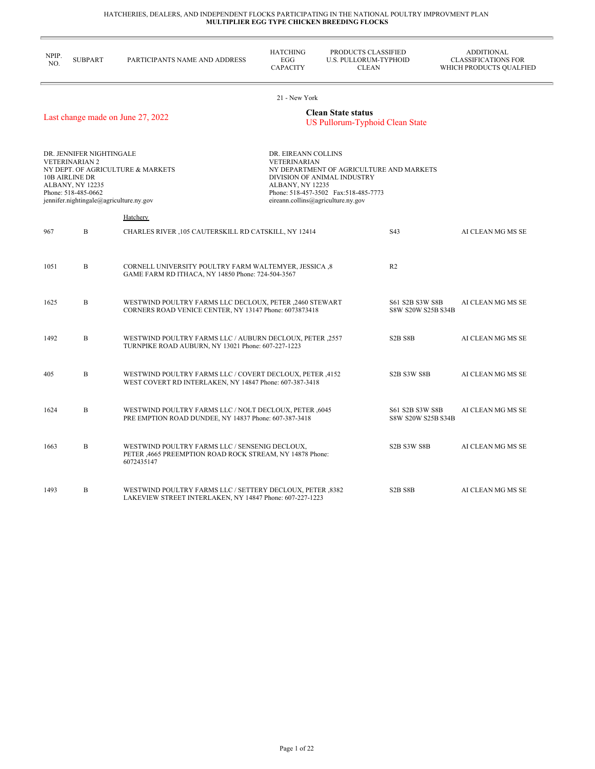÷,

| NPIP.<br>NO. | <b>SUBPART</b>                                                                                                                                            | PARTICIPANTS NAME AND ADDRESS                                                                                             | <b>HATCHING</b><br>EGG<br><b>CAPACITY</b>                      | PRODUCTS CLASSIFIED<br>U.S. PULLORUM-TYPHOID<br><b>CLEAN</b>                                                                                          |                                       | <b>ADDITIONAL</b><br><b>CLASSIFICATIONS FOR</b><br>WHICH PRODUCTS QUALFIED |
|--------------|-----------------------------------------------------------------------------------------------------------------------------------------------------------|---------------------------------------------------------------------------------------------------------------------------|----------------------------------------------------------------|-------------------------------------------------------------------------------------------------------------------------------------------------------|---------------------------------------|----------------------------------------------------------------------------|
|              |                                                                                                                                                           |                                                                                                                           | 21 - New York                                                  |                                                                                                                                                       |                                       |                                                                            |
|              |                                                                                                                                                           | Last change made on June 27, 2022                                                                                         |                                                                | <b>Clean State status</b><br><b>US Pullorum-Typhoid Clean State</b>                                                                                   |                                       |                                                                            |
|              | DR. JENNIFER NIGHTINGALE<br><b>VETERINARIAN 2</b><br>10B AIRLINE DR<br>ALBANY, NY 12235<br>Phone: 518-485-0662<br>jennifer.nightingale@agriculture.ny.gov | NY DEPT. OF AGRICULTURE & MARKETS                                                                                         | DR. EIREANN COLLINS<br><b>VETERINARIAN</b><br>ALBANY, NY 12235 | NY DEPARTMENT OF AGRICULTURE AND MARKETS<br>DIVISION OF ANIMAL INDUSTRY<br>Phone: 518-457-3502 Fax:518-485-7773<br>eireann.collins@agriculture.ny.gov |                                       |                                                                            |
|              |                                                                                                                                                           | Hatchery                                                                                                                  |                                                                |                                                                                                                                                       |                                       |                                                                            |
| 967          | B                                                                                                                                                         | CHARLES RIVER , 105 CAUTERSKILL RD CATSKILL, NY 12414                                                                     |                                                                |                                                                                                                                                       | S43                                   | AI CLEAN MG MS SE                                                          |
| 1051         | B                                                                                                                                                         | CORNELL UNIVERSITY POULTRY FARM WALTEMYER, JESSICA ,8<br>GAME FARM RD ITHACA, NY 14850 Phone: 724-504-3567                |                                                                |                                                                                                                                                       | R <sub>2</sub>                        |                                                                            |
| 1625         | B                                                                                                                                                         | WESTWIND POULTRY FARMS LLC DECLOUX, PETER ,2460 STEWART<br>CORNERS ROAD VENICE CENTER, NY 13147 Phone: 6073873418         |                                                                |                                                                                                                                                       | S61 S2B S3W S8B<br>S8W S20W S25B S34B | AI CLEAN MG MS SE                                                          |
| 1492         | B                                                                                                                                                         | WESTWIND POULTRY FARMS LLC / AUBURN DECLOUX, PETER ,2557<br>TURNPIKE ROAD AUBURN, NY 13021 Phone: 607-227-1223            |                                                                |                                                                                                                                                       | S <sub>2</sub> B <sub>S8</sub> B      | AI CLEAN MG MS SE                                                          |
| 405          | B                                                                                                                                                         | WESTWIND POULTRY FARMS LLC / COVERT DECLOUX, PETER ,4152<br>WEST COVERT RD INTERLAKEN, NY 14847 Phone: 607-387-3418       |                                                                |                                                                                                                                                       | S2B S3W S8B                           | AI CLEAN MG MS SE                                                          |
| 1624         | B                                                                                                                                                         | WESTWIND POULTRY FARMS LLC / NOLT DECLOUX, PETER ,6045<br>PRE EMPTION ROAD DUNDEE, NY 14837 Phone: 607-387-3418           |                                                                |                                                                                                                                                       | S61 S2B S3W S8B<br>S8W S20W S25B S34B | AI CLEAN MG MS SE                                                          |
| 1663         | B                                                                                                                                                         | WESTWIND POULTRY FARMS LLC / SENSENIG DECLOUX,<br>PETER , 4665 PREEMPTION ROAD ROCK STREAM, NY 14878 Phone:<br>6072435147 |                                                                |                                                                                                                                                       | S2B S3W S8B                           | AI CLEAN MG MS SE                                                          |
| 1493         | B                                                                                                                                                         | WESTWIND POULTRY FARMS LLC / SETTERY DECLOUX, PETER ,8382<br>LAKEVIEW STREET INTERLAKEN, NY 14847 Phone: 607-227-1223     |                                                                |                                                                                                                                                       | S <sub>2</sub> B <sub>S8</sub> B      | AI CLEAN MG MS SE                                                          |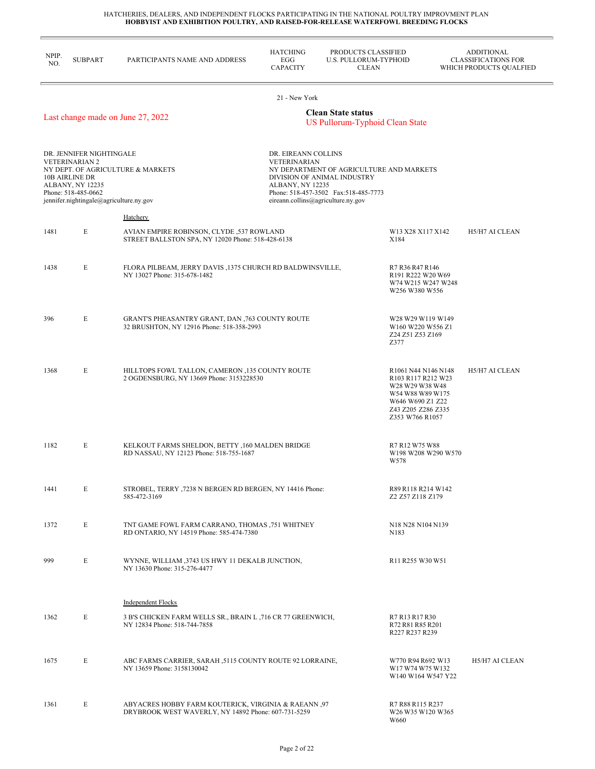÷

| NPIP.<br>NO. | <b>SUBPART</b>                                                                                                                                                   | PARTICIPANTS NAME AND ADDRESS                                                                                            | <b>HATCHING</b><br>EGG<br><b>CAPACITY</b>                                                                                                                                                                               | PRODUCTS CLASSIFIED<br>U.S. PULLORUM-TYPHOID<br><b>CLEAN</b> |                                                                                                                                               | <b>ADDITIONAL</b><br><b>CLASSIFICATIONS FOR</b><br>WHICH PRODUCTS QUALFIED |
|--------------|------------------------------------------------------------------------------------------------------------------------------------------------------------------|--------------------------------------------------------------------------------------------------------------------------|-------------------------------------------------------------------------------------------------------------------------------------------------------------------------------------------------------------------------|--------------------------------------------------------------|-----------------------------------------------------------------------------------------------------------------------------------------------|----------------------------------------------------------------------------|
|              |                                                                                                                                                                  |                                                                                                                          | 21 - New York                                                                                                                                                                                                           |                                                              |                                                                                                                                               |                                                                            |
|              |                                                                                                                                                                  | Last change made on June 27, 2022                                                                                        |                                                                                                                                                                                                                         | <b>Clean State status</b><br>US Pullorum-Typhoid Clean State |                                                                                                                                               |                                                                            |
|              | DR. JENNIFER NIGHTINGALE<br><b>VETERINARIAN 2</b><br><b>10B AIRLINE DR</b><br>ALBANY, NY 12235<br>Phone: 518-485-0662<br>jennifer.nightingale@agriculture.ny.gov | NY DEPT. OF AGRICULTURE & MARKETS                                                                                        | DR. EIREANN COLLINS<br><b>VETERINARIAN</b><br>NY DEPARTMENT OF AGRICULTURE AND MARKETS<br>DIVISION OF ANIMAL INDUSTRY<br>ALBANY, NY 12235<br>Phone: 518-457-3502 Fax:518-485-7773<br>eireann.collins@agriculture.ny.gov |                                                              |                                                                                                                                               |                                                                            |
|              |                                                                                                                                                                  | Hatchery                                                                                                                 |                                                                                                                                                                                                                         |                                                              |                                                                                                                                               |                                                                            |
| 1481         | E                                                                                                                                                                | AVIAN EMPIRE ROBINSON, CLYDE ,537 ROWLAND<br>STREET BALLSTON SPA, NY 12020 Phone: 518-428-6138                           |                                                                                                                                                                                                                         |                                                              | W13 X28 X117 X142<br>X184                                                                                                                     | H5/H7 AI CLEAN                                                             |
| 1438         | E                                                                                                                                                                | FLORA PILBEAM, JERRY DAVIS , 1375 CHURCH RD BALDWINSVILLE,<br>NY 13027 Phone: 315-678-1482                               |                                                                                                                                                                                                                         |                                                              | R7 R36 R47 R146<br>R191 R222 W20 W69<br>W74 W215 W247 W248<br>W256 W380 W556                                                                  |                                                                            |
| 396          | E                                                                                                                                                                | GRANT'S PHEASANTRY GRANT, DAN ,763 COUNTY ROUTE<br>32 BRUSHTON, NY 12916 Phone: 518-358-2993                             |                                                                                                                                                                                                                         |                                                              | W28 W29 W119 W149<br>W160 W220 W556 Z1<br>Z24 Z51 Z53 Z169<br>Z377                                                                            |                                                                            |
| 1368         | E                                                                                                                                                                | HILLTOPS FOWL TALLON, CAMERON , 135 COUNTY ROUTE<br>2 OGDENSBURG, NY 13669 Phone: 3153228530                             |                                                                                                                                                                                                                         |                                                              | R1061 N44 N146 N148<br>R103 R117 R212 W23<br>W28 W29 W38 W48<br>W54 W88 W89 W175<br>W646 W690 Z1 Z22<br>Z43 Z205 Z286 Z335<br>Z353 W766 R1057 | H5/H7 AI CLEAN                                                             |
| 1182         | E                                                                                                                                                                | KELKOUT FARMS SHELDON, BETTY , 160 MALDEN BRIDGE<br>RD NASSAU, NY 12123 Phone: 518-755-1687                              |                                                                                                                                                                                                                         |                                                              | R7 R12 W75 W88<br>W198 W208 W290 W570<br>W578                                                                                                 |                                                                            |
| 1441         | E                                                                                                                                                                | STROBEL, TERRY , 7238 N BERGEN RD BERGEN, NY 14416 Phone:<br>585-472-3169                                                |                                                                                                                                                                                                                         |                                                              | R89 R118 R214 W142<br>Z2 Z57 Z118 Z179                                                                                                        |                                                                            |
| 1372         | E                                                                                                                                                                | TNT GAME FOWL FARM CARRANO, THOMAS ,751 WHITNEY<br>RD ONTARIO, NY 14519 Phone: 585-474-7380                              |                                                                                                                                                                                                                         |                                                              | N18 N28 N104 N139<br>N183                                                                                                                     |                                                                            |
| 999          | E                                                                                                                                                                | WYNNE, WILLIAM ,3743 US HWY 11 DEKALB JUNCTION,<br>NY 13630 Phone: 315-276-4477                                          |                                                                                                                                                                                                                         |                                                              | R11 R255 W30 W51                                                                                                                              |                                                                            |
| 1362         | E                                                                                                                                                                | <b>Independent Flocks</b><br>3 B'S CHICKEN FARM WELLS SR., BRAIN L, 716 CR 77 GREENWICH,<br>NY 12834 Phone: 518-744-7858 |                                                                                                                                                                                                                         |                                                              | R7 R13 R17 R30<br>R72 R81 R85 R201<br>R227 R237 R239                                                                                          |                                                                            |
| 1675         | E                                                                                                                                                                | ABC FARMS CARRIER, SARAH ,5115 COUNTY ROUTE 92 LORRAINE,<br>NY 13659 Phone: 3158130042                                   |                                                                                                                                                                                                                         |                                                              | W770 R94 R692 W13<br>W17 W74 W75 W132<br>W140 W164 W547 Y22                                                                                   | H5/H7 AI CLEAN                                                             |
| 1361         | E                                                                                                                                                                | ABYACRES HOBBY FARM KOUTERICK, VIRGINIA & RAEANN ,97<br>DRYBROOK WEST WAVERLY, NY 14892 Phone: 607-731-5259              |                                                                                                                                                                                                                         |                                                              | R7 R88 R115 R237<br>W26 W35 W120 W365<br>W660                                                                                                 |                                                                            |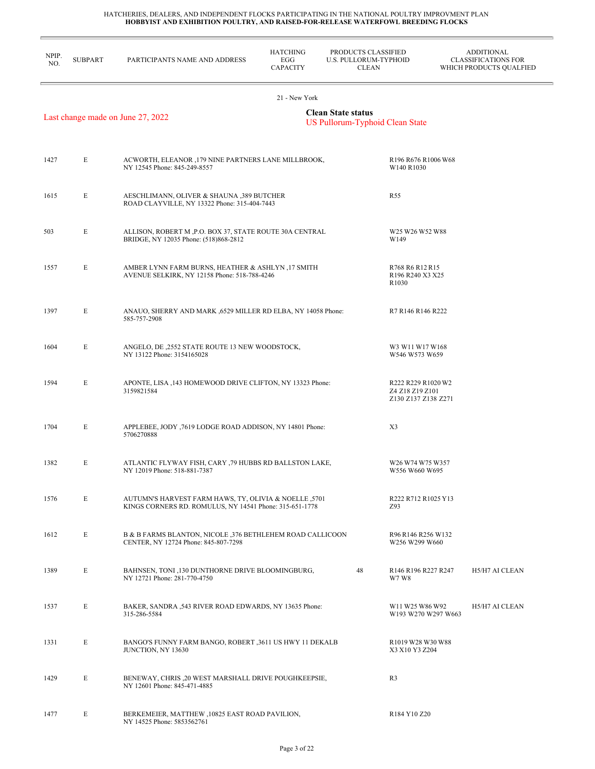L,

| NPIP.<br>NO. | <b>SUBPART</b> | PARTICIPANTS NAME AND ADDRESS                                                                                    | <b>HATCHING</b><br>EGG<br><b>CAPACITY</b> | PRODUCTS CLASSIFIED<br>U.S. PULLORUM-TYPHOID<br><b>CLEAN</b> |                                                                                                          | <b>ADDITIONAL</b><br><b>CLASSIFICATIONS FOR</b><br>WHICH PRODUCTS QUALFIED |
|--------------|----------------|------------------------------------------------------------------------------------------------------------------|-------------------------------------------|--------------------------------------------------------------|----------------------------------------------------------------------------------------------------------|----------------------------------------------------------------------------|
|              |                |                                                                                                                  | 21 - New York                             |                                                              |                                                                                                          |                                                                            |
|              |                | Last change made on June 27, 2022                                                                                |                                           | <b>Clean State status</b><br>US Pullorum-Typhoid Clean State |                                                                                                          |                                                                            |
| 1427         | E              | ACWORTH, ELEANOR ,179 NINE PARTNERS LANE MILLBROOK,<br>NY 12545 Phone: 845-249-8557                              |                                           |                                                              | R196 R676 R1006 W68<br>W140 R1030                                                                        |                                                                            |
| 1615         | E              | AESCHLIMANN, OLIVER & SHAUNA ,389 BUTCHER<br>ROAD CLAYVILLE, NY 13322 Phone: 315-404-7443                        |                                           |                                                              | R55                                                                                                      |                                                                            |
| 503          | E              | ALLISON, ROBERT M , P.O. BOX 37, STATE ROUTE 30A CENTRAL<br>BRIDGE, NY 12035 Phone: (518)868-2812                |                                           |                                                              | W25 W26 W52 W88<br>W149                                                                                  |                                                                            |
| 1557         | E              | AMBER LYNN FARM BURNS, HEATHER & ASHLYN, 17 SMITH<br>AVENUE SELKIRK, NY 12158 Phone: 518-788-4246                |                                           |                                                              | R768 R6 R12 R15<br>R <sub>196</sub> R <sub>240</sub> X <sub>3</sub> X <sub>25</sub><br>R <sub>1030</sub> |                                                                            |
| 1397         | E              | ANAUO, SHERRY AND MARK , 6529 MILLER RD ELBA, NY 14058 Phone:<br>585-757-2908                                    |                                           |                                                              | R7 R146 R146 R222                                                                                        |                                                                            |
| 1604         | E              | ANGELO, DE ,2552 STATE ROUTE 13 NEW WOODSTOCK,<br>NY 13122 Phone: 3154165028                                     |                                           |                                                              | W3 W11 W17 W168<br>W546 W573 W659                                                                        |                                                                            |
| 1594         | E              | APONTE, LISA , 143 HOMEWOOD DRIVE CLIFTON, NY 13323 Phone:<br>3159821584                                         |                                           |                                                              | R222 R229 R1020 W2<br>Z4 Z18 Z19 Z101<br>Z130 Z137 Z138 Z271                                             |                                                                            |
| 1704         | E              | APPLEBEE, JODY ,7619 LODGE ROAD ADDISON, NY 14801 Phone:<br>5706270888                                           |                                           |                                                              | X3                                                                                                       |                                                                            |
| 1382         | E              | ATLANTIC FLYWAY FISH, CARY ,79 HUBBS RD BALLSTON LAKE,<br>NY 12019 Phone: 518-881-7387                           |                                           |                                                              | W <sub>26</sub> W <sub>74</sub> W <sub>75</sub> W <sub>357</sub><br>W556 W660 W695                       |                                                                            |
| 1576         | E              | AUTUMN'S HARVEST FARM HAWS, TY, OLIVIA & NOELLE ,5701<br>KINGS CORNERS RD. ROMULUS, NY 14541 Phone: 315-651-1778 |                                           |                                                              | R222 R712 R1025 Y13<br>Z93                                                                               |                                                                            |
| 1612         | E              | B & B FARMS BLANTON, NICOLE ,376 BETHLEHEM ROAD CALLICOON<br>CENTER, NY 12724 Phone: 845-807-7298                |                                           |                                                              | R96 R146 R256 W132<br>W256 W299 W660                                                                     |                                                                            |
| 1389         | E              | BAHNSEN, TONI ,130 DUNTHORNE DRIVE BLOOMINGBURG,<br>NY 12721 Phone: 281-770-4750                                 |                                           | 48                                                           | R <sub>146</sub> R <sub>196</sub> R <sub>227</sub> R <sub>247</sub><br>W7 W8                             | H5/H7 AI CLEAN                                                             |
| 1537         | E              | BAKER, SANDRA , 543 RIVER ROAD EDWARDS, NY 13635 Phone:<br>315-286-5584                                          |                                           |                                                              | W <sub>11</sub> W <sub>25</sub> W <sub>86</sub> W <sub>92</sub><br>W193 W270 W297 W663                   | H5/H7 AI CLEAN                                                             |
| 1331         | E              | BANGO'S FUNNY FARM BANGO, ROBERT ,3611 US HWY 11 DEKALB<br>JUNCTION, NY 13630                                    |                                           |                                                              | R1019 W28 W30 W88<br>X3 X10 Y3 Z204                                                                      |                                                                            |
| 1429         | E              | BENEWAY, CHRIS ,20 WEST MARSHALL DRIVE POUGHKEEPSIE,<br>NY 12601 Phone: 845-471-4885                             |                                           |                                                              | R <sub>3</sub>                                                                                           |                                                                            |
| 1477         | E              | BERKEMEIER, MATTHEW, 10825 EAST ROAD PAVILION,<br>NY 14525 Phone: 5853562761                                     |                                           |                                                              | R184 Y10 Z20                                                                                             |                                                                            |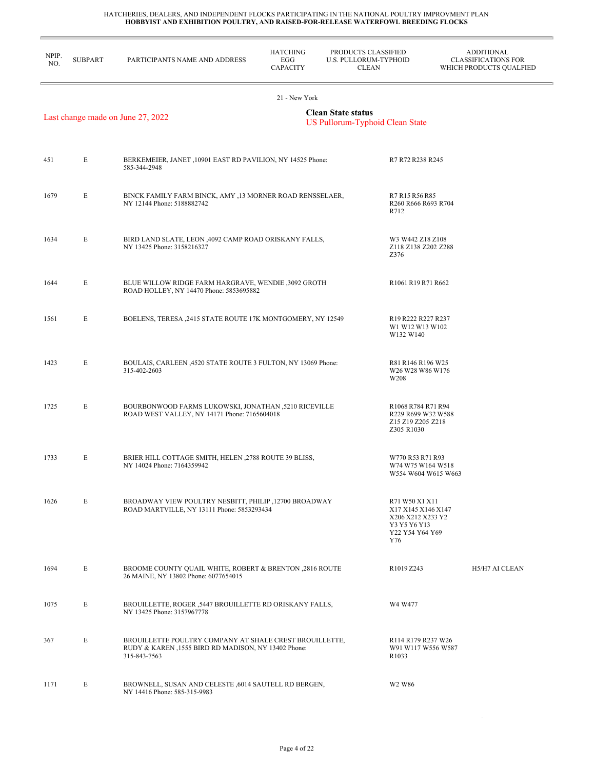| NPIP.<br>NO. | <b>SUBPART</b> | PARTICIPANTS NAME AND ADDRESS                                                                                                  | <b>HATCHING</b><br>EGG<br><b>CAPACITY</b> | PRODUCTS CLASSIFIED<br>U.S. PULLORUM-TYPHOID<br><b>CLEAN</b>                                        | <b>ADDITIONAL</b><br><b>CLASSIFICATIONS FOR</b><br>WHICH PRODUCTS QUALFIED |
|--------------|----------------|--------------------------------------------------------------------------------------------------------------------------------|-------------------------------------------|-----------------------------------------------------------------------------------------------------|----------------------------------------------------------------------------|
|              |                |                                                                                                                                | 21 - New York                             |                                                                                                     |                                                                            |
|              |                | Last change made on June 27, 2022                                                                                              |                                           | <b>Clean State status</b><br>US Pullorum-Typhoid Clean State                                        |                                                                            |
|              |                |                                                                                                                                |                                           |                                                                                                     |                                                                            |
| 451          | E              | BERKEMEIER, JANET , 10901 EAST RD PAVILION, NY 14525 Phone:<br>585-344-2948                                                    |                                           | R7 R72 R238 R245                                                                                    |                                                                            |
| 1679         | E              | BINCK FAMILY FARM BINCK, AMY ,13 MORNER ROAD RENSSELAER,<br>NY 12144 Phone: 5188882742                                         |                                           | R7 R15 R56 R85<br>R712                                                                              | R260 R666 R693 R704                                                        |
| 1634         | E              | BIRD LAND SLATE, LEON , 4092 CAMP ROAD ORISKANY FALLS,<br>NY 13425 Phone: 3158216327                                           |                                           | W3 W442 Z18 Z108<br>Z376                                                                            | Z118 Z138 Z202 Z288                                                        |
| 1644         | E              | BLUE WILLOW RIDGE FARM HARGRAVE, WENDIE ,3092 GROTH<br>ROAD HOLLEY, NY 14470 Phone: 5853695882                                 |                                           | R1061 R19 R71 R662                                                                                  |                                                                            |
| 1561         | E              | BOELENS, TERESA , 2415 STATE ROUTE 17K MONTGOMERY, NY 12549                                                                    |                                           | R <sub>19</sub> R <sub>222</sub> R <sub>227</sub> R <sub>237</sub><br>W1 W12 W13 W102<br>W132 W140  |                                                                            |
| 1423         | E              | BOULAIS, CARLEEN, 4520 STATE ROUTE 3 FULTON, NY 13069 Phone:<br>315-402-2603                                                   |                                           | R81 R146 R196 W25<br>W26 W28 W86 W176<br>W208                                                       |                                                                            |
| 1725         | E              | BOURBONWOOD FARMS LUKOWSKI, JONATHAN ,5210 RICEVILLE<br>ROAD WEST VALLEY, NY 14171 Phone: 7165604018                           |                                           | R1068 R784 R71 R94<br>Z15 Z19 Z205 Z218<br>Z305 R1030                                               | R229 R699 W32 W588                                                         |
| 1733         | E              | BRIER HILL COTTAGE SMITH, HELEN , 2788 ROUTE 39 BLISS,<br>NY 14024 Phone: 7164359942                                           |                                           | W770 R53 R71 R93                                                                                    | W74 W75 W164 W518<br>W554 W604 W615 W663                                   |
| 1626         | E              | BROADWAY VIEW POULTRY NESBITT, PHILIP ,12700 BROADWAY<br>ROAD MARTVILLE, NY 13111 Phone: 5853293434                            |                                           | R71 W50 X1 X11<br>X17 X145 X146 X147<br>X206 X212 X233 Y2<br>Y3 Y5 Y6 Y13<br>Y22 Y54 Y64 Y69<br>Y76 |                                                                            |
| 1694         | E              | BROOME COUNTY QUAIL WHITE, ROBERT & BRENTON ,2816 ROUTE<br>26 MAINE, NY 13802 Phone: 6077654015                                |                                           | R1019 Z243                                                                                          | H5/H7 AI CLEAN                                                             |
| 1075         | E              | BROUILLETTE, ROGER ,5447 BROUILLETTE RD ORISKANY FALLS,<br>NY 13425 Phone: 3157967778                                          |                                           | W4 W477                                                                                             |                                                                            |
| 367          | E              | BROUILLETTE POULTRY COMPANY AT SHALE CREST BROUILLETTE,<br>RUDY & KAREN, 1555 BIRD RD MADISON, NY 13402 Phone:<br>315-843-7563 |                                           | R <sub>114</sub> R <sub>179</sub> R <sub>237</sub> W <sub>26</sub><br>R <sub>1033</sub>             | W91 W117 W556 W587                                                         |
| 1171         | Е              | BROWNELL, SUSAN AND CELESTE ,6014 SAUTELL RD BERGEN,<br>NY 14416 Phone: 585-315-9983                                           |                                           | W <sub>2</sub> W <sub>86</sub>                                                                      |                                                                            |
|              |                |                                                                                                                                |                                           |                                                                                                     |                                                                            |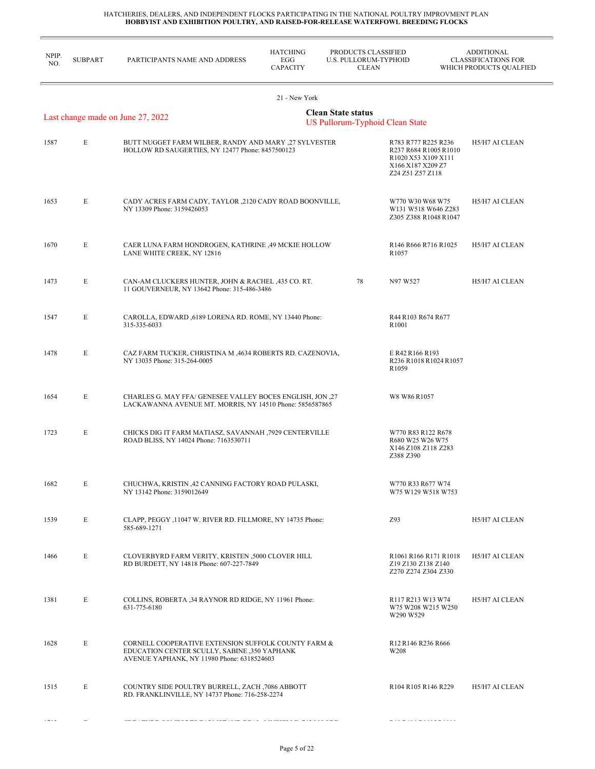$\overline{a}$ 

| NPIP.<br>NO. | <b>SUBPART</b> | PARTICIPANTS NAME AND ADDRESS                                                                                                                     | <b>HATCHING</b><br>EGG<br><b>CAPACITY</b> | PRODUCTS CLASSIFIED<br>U.S. PULLORUM-TYPHOID<br><b>CLEAN</b> |                                                                                                              | <b>ADDITIONAL</b><br><b>CLASSIFICATIONS FOR</b><br>WHICH PRODUCTS QUALFIED |
|--------------|----------------|---------------------------------------------------------------------------------------------------------------------------------------------------|-------------------------------------------|--------------------------------------------------------------|--------------------------------------------------------------------------------------------------------------|----------------------------------------------------------------------------|
|              |                |                                                                                                                                                   | 21 - New York                             |                                                              |                                                                                                              |                                                                            |
|              |                | Last change made on June 27, 2022                                                                                                                 |                                           | <b>Clean State status</b><br>US Pullorum-Typhoid Clean State |                                                                                                              |                                                                            |
| 1587         | E              | BUTT NUGGET FARM WILBER, RANDY AND MARY ,27 SYLVESTER<br>HOLLOW RD SAUGERTIES, NY 12477 Phone: 8457500123                                         |                                           |                                                              | R783 R777 R225 R236<br>R237 R684 R1005 R1010<br>R1020 X53 X109 X111<br>X166 X187 X209 Z7<br>Z24 Z51 Z57 Z118 | H5/H7 AI CLEAN                                                             |
| 1653         | E              | CADY ACRES FARM CADY, TAYLOR ,2120 CADY ROAD BOONVILLE,<br>NY 13309 Phone: 3159426053                                                             |                                           |                                                              | W770 W30 W68 W75<br>W131 W518 W646 Z283<br>Z305 Z388 R1048 R1047                                             | H5/H7 AI CLEAN                                                             |
| 1670         | E              | CAER LUNA FARM HONDROGEN, KATHRINE ,49 MCKIE HOLLOW<br>LANE WHITE CREEK, NY 12816                                                                 |                                           |                                                              | R146 R666 R716 R1025<br>R <sub>1057</sub>                                                                    | H5/H7 AI CLEAN                                                             |
| 1473         | E              | CAN-AM CLUCKERS HUNTER, JOHN & RACHEL ,435 CO. RT.<br>11 GOUVERNEUR, NY 13642 Phone: 315-486-3486                                                 |                                           | 78                                                           | N97 W527                                                                                                     | H5/H7 AI CLEAN                                                             |
| 1547         | E              | CAROLLA, EDWARD ,6189 LORENA RD. ROME, NY 13440 Phone:<br>315-335-6033                                                                            |                                           |                                                              | R44 R103 R674 R677<br>R1001                                                                                  |                                                                            |
| 1478         | E              | CAZ FARM TUCKER, CHRISTINA M , 4634 ROBERTS RD. CAZENOVIA,<br>NY 13035 Phone: 315-264-0005                                                        |                                           |                                                              | E R42 R166 R193<br>R236 R1018 R1024 R1057<br>R <sub>1059</sub>                                               |                                                                            |
| 1654         | E              | CHARLES G. MAY FFA/ GENESEE VALLEY BOCES ENGLISH, JON ,27<br>LACKAWANNA AVENUE MT. MORRIS, NY 14510 Phone: 5856587865                             |                                           |                                                              | W8 W86 R1057                                                                                                 |                                                                            |
| 1723         | E              | CHICKS DIG IT FARM MATIASZ, SAVANNAH ,7929 CENTERVILLE<br>ROAD BLISS, NY 14024 Phone: 7163530711                                                  |                                           |                                                              | W770 R83 R122 R678<br>R680 W25 W26 W75<br>X146 Z108 Z118 Z283<br>Z388 Z390                                   |                                                                            |
| 1682         | E              | CHUCHWA, KRISTIN ,42 CANNING FACTORY ROAD PULASKI,<br>NY 13142 Phone: 3159012649                                                                  |                                           |                                                              | W770 R33 R677 W74<br>W75 W129 W518 W753                                                                      |                                                                            |
| 1539         | E              | CLAPP, PEGGY ,11047 W. RIVER RD. FILLMORE, NY 14735 Phone:<br>585-689-1271                                                                        |                                           |                                                              | Z93                                                                                                          | H5/H7 AI CLEAN                                                             |
| 1466         | E              | CLOVERBYRD FARM VERITY, KRISTEN ,5000 CLOVER HILL<br>RD BURDETT, NY 14818 Phone: 607-227-7849                                                     |                                           |                                                              | R1061 R166 R171 R1018<br>Z19 Z130 Z138 Z140<br>Z270 Z274 Z304 Z330                                           | H5/H7 AI CLEAN                                                             |
| 1381         | E              | COLLINS, ROBERTA 34 RAYNOR RD RIDGE, NY 11961 Phone:<br>631-775-6180                                                                              |                                           |                                                              | R117 R213 W13 W74<br>W75 W208 W215 W250<br>W290 W529                                                         | H5/H7 AI CLEAN                                                             |
| 1628         | E              | CORNELL COOPERATIVE EXTENSION SUFFOLK COUNTY FARM &<br>EDUCATION CENTER SCULLY, SABINE ,350 YAPHANK<br>AVENUE YAPHANK, NY 11980 Phone: 6318524603 |                                           |                                                              | R <sub>12</sub> R <sub>146</sub> R <sub>236</sub> R <sub>666</sub><br>W <sub>208</sub>                       |                                                                            |
| 1515         | E              | COUNTRY SIDE POULTRY BURRELL, ZACH ,7086 ABBOTT<br>RD. FRANKLINVILLE, NY 14737 Phone: 716-258-2274                                                |                                           |                                                              | R <sub>104</sub> R <sub>105</sub> R <sub>146</sub> R <sub>229</sub>                                          | H5/H7 AI CLEAN                                                             |
|              |                |                                                                                                                                                   |                                           |                                                              |                                                                                                              |                                                                            |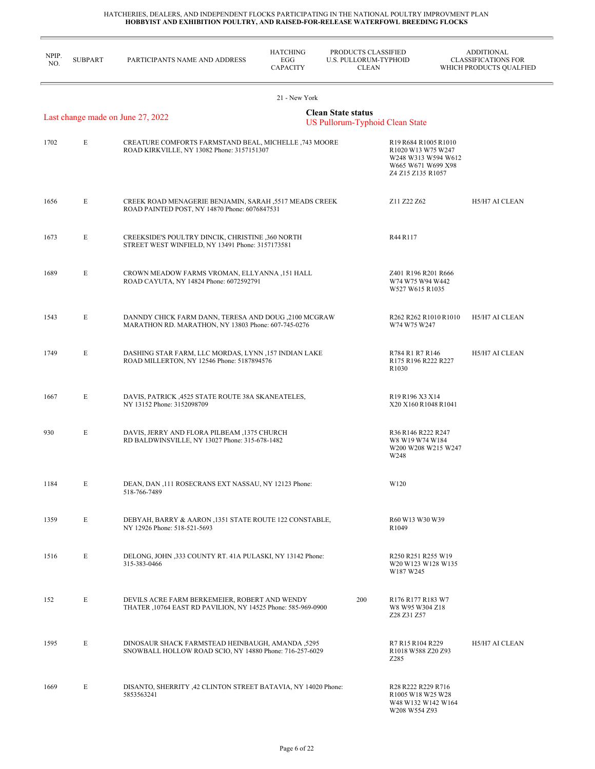| NPIP.<br>NO. | <b>SUBPART</b> | PARTICIPANTS NAME AND ADDRESS                                                                                  | <b>HATCHING</b><br>EGG<br><b>CAPACITY</b> | PRODUCTS CLASSIFIED<br><b>U.S. PULLORUM-TYPHOID</b><br><b>CLEAN</b> |                                                                                                                                | <b>ADDITIONAL</b><br><b>CLASSIFICATIONS FOR</b><br>WHICH PRODUCTS QUALFIED |
|--------------|----------------|----------------------------------------------------------------------------------------------------------------|-------------------------------------------|---------------------------------------------------------------------|--------------------------------------------------------------------------------------------------------------------------------|----------------------------------------------------------------------------|
|              |                |                                                                                                                | 21 - New York                             |                                                                     |                                                                                                                                |                                                                            |
|              |                | Last change made on June 27, 2022                                                                              |                                           | <b>Clean State status</b><br><b>US Pullorum-Typhoid Clean State</b> |                                                                                                                                |                                                                            |
| 1702         | E              | CREATURE COMFORTS FARMSTAND BEAL, MICHELLE, 743 MOORE<br>ROAD KIRKVILLE, NY 13082 Phone: 3157151307            |                                           |                                                                     | R19 R684 R1005 R1010<br>R1020 W13 W75 W247<br>W248 W313 W594 W612<br>W665 W671 W699 X98<br>Z4 Z15 Z135 R1057                   |                                                                            |
| 1656         | E              | CREEK ROAD MENAGERIE BENJAMIN, SARAH ,5517 MEADS CREEK<br>ROAD PAINTED POST, NY 14870 Phone: 6076847531        |                                           |                                                                     | Z11 Z22 Z62                                                                                                                    | H5/H7 AI CLEAN                                                             |
| 1673         | E              | CREEKSIDE'S POULTRY DINCIK, CHRISTINE ,360 NORTH<br>STREET WEST WINFIELD, NY 13491 Phone: 3157173581           |                                           |                                                                     | R44 R117                                                                                                                       |                                                                            |
| 1689         | E              | CROWN MEADOW FARMS VROMAN, ELLYANNA ,151 HALL<br>ROAD CAYUTA, NY 14824 Phone: 6072592791                       |                                           |                                                                     | Z401 R196 R201 R666<br>W74 W75 W94 W442<br>W527 W615 R1035                                                                     |                                                                            |
| 1543         | E              | DANNDY CHICK FARM DANN, TERESA AND DOUG ,2100 MCGRAW<br>MARATHON RD. MARATHON, NY 13803 Phone: 607-745-0276    |                                           |                                                                     | R <sub>262</sub> R <sub>262</sub> R <sub>1010</sub> R <sub>1010</sub><br>W74 W75 W247                                          | H5/H7 AI CLEAN                                                             |
| 1749         | E              | DASHING STAR FARM, LLC MORDAS, LYNN , 157 INDIAN LAKE<br>ROAD MILLERTON, NY 12546 Phone: 5187894576            |                                           |                                                                     | R784 R1 R7 R146<br>R175 R196 R222 R227<br>R <sub>1030</sub>                                                                    | H5/H7 AI CLEAN                                                             |
| 1667         | E              | DAVIS, PATRICK , 4525 STATE ROUTE 38A SKANEATELES,<br>NY 13152 Phone: 3152098709                               |                                           |                                                                     | R <sub>19</sub> R <sub>196</sub> X <sub>3</sub> X <sub>14</sub><br>X20 X160 R1048 R1041                                        |                                                                            |
| 930          | E              | DAVIS, JERRY AND FLORA PILBEAM ,1375 CHURCH<br>RD BALDWINSVILLE, NY 13027 Phone: 315-678-1482                  |                                           |                                                                     | R36 R146 R222 R247<br>W8 W19 W74 W184<br>W200 W208 W215 W247<br>W248                                                           |                                                                            |
| 1184         | E              | DEAN, DAN ,111 ROSECRANS EXT NASSAU, NY 12123 Phone:<br>518-766-7489                                           |                                           |                                                                     | W120                                                                                                                           |                                                                            |
| 1359         | E              | DEBYAH, BARRY & AARON, 1351 STATE ROUTE 122 CONSTABLE,<br>NY 12926 Phone: 518-521-5693                         |                                           |                                                                     | R60 W13 W30 W39<br>R <sub>1049</sub>                                                                                           |                                                                            |
| 1516         | E              | DELONG, JOHN ,333 COUNTY RT. 41A PULASKI, NY 13142 Phone:<br>315-383-0466                                      |                                           |                                                                     | R250 R251 R255 W19<br>W20 W123 W128 W135<br>W187 W245                                                                          |                                                                            |
| 152          | E              | DEVILS ACRE FARM BERKEMEIER, ROBERT AND WENDY<br>THATER , 10764 EAST RD PAVILION, NY 14525 Phone: 585-969-0900 |                                           | 200                                                                 | R <sub>176</sub> R <sub>177</sub> R <sub>183</sub> W <sub>7</sub><br>W8 W95 W304 Z18<br>Z28 Z31 Z57                            |                                                                            |
| 1595         | E              | DINOSAUR SHACK FARMSTEAD HEINBAUGH, AMANDA ,5295<br>SNOWBALL HOLLOW ROAD SCIO, NY 14880 Phone: 716-257-6029    |                                           |                                                                     | R7 R15 R104 R229<br>R1018 W588 Z20 Z93<br>Z285                                                                                 | H5/H7 AI CLEAN                                                             |
| 1669         | E              | DISANTO, SHERRITY ,42 CLINTON STREET BATAVIA, NY 14020 Phone:<br>5853563241                                    |                                           |                                                                     | R <sub>28</sub> R <sub>222</sub> R <sub>229</sub> R <sub>716</sub><br>R1005 W18 W25 W28<br>W48 W132 W142 W164<br>W208 W554 Z93 |                                                                            |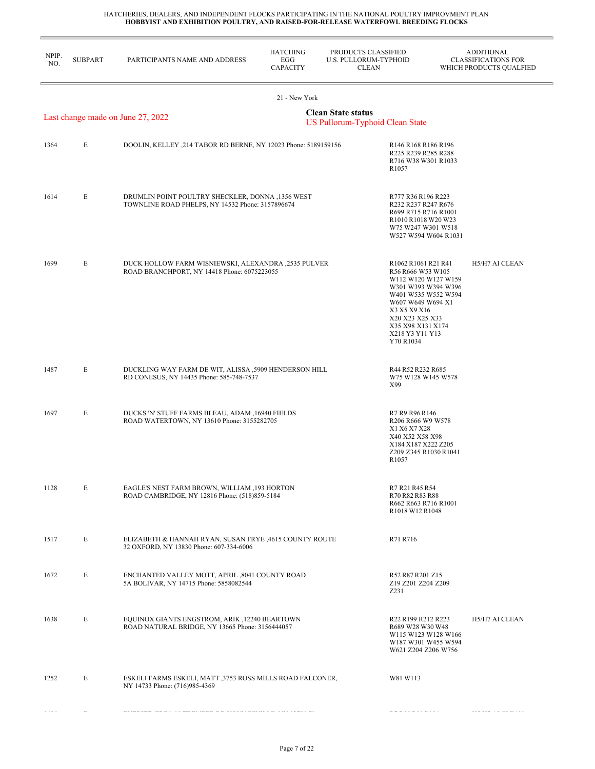| NPIP.<br>NO. | <b>SUBPART</b> | PARTICIPANTS NAME AND ADDRESS                                                                        | <b>HATCHING</b><br>EGG<br><b>CAPACITY</b> | PRODUCTS CLASSIFIED<br>U.S. PULLORUM-TYPHOID<br><b>CLEAN</b> |                                                                                                                                                                                                                            | <b>ADDITIONAL</b><br><b>CLASSIFICATIONS FOR</b><br>WHICH PRODUCTS QUALFIED |
|--------------|----------------|------------------------------------------------------------------------------------------------------|-------------------------------------------|--------------------------------------------------------------|----------------------------------------------------------------------------------------------------------------------------------------------------------------------------------------------------------------------------|----------------------------------------------------------------------------|
|              |                |                                                                                                      | 21 - New York                             |                                                              |                                                                                                                                                                                                                            |                                                                            |
|              |                | Last change made on June 27, 2022                                                                    |                                           | <b>Clean State status</b><br>US Pullorum-Typhoid Clean State |                                                                                                                                                                                                                            |                                                                            |
| 1364         | E              | DOOLIN, KELLEY , 214 TABOR RD BERNE, NY 12023 Phone: 5189159156                                      |                                           |                                                              | R146 R168 R186 R196<br>R225 R239 R285 R288<br>R716 W38 W301 R1033<br>R <sub>1057</sub>                                                                                                                                     |                                                                            |
| 1614         | E              | DRUMLIN POINT POULTRY SHECKLER, DONNA ,1356 WEST<br>TOWNLINE ROAD PHELPS, NY 14532 Phone: 3157896674 |                                           |                                                              | R777 R36 R196 R223<br>R232 R237 R247 R676<br>R699 R715 R716 R1001<br>R1010 R1018 W20 W23<br>W75 W247 W301 W518<br>W527 W594 W604 R1031                                                                                     |                                                                            |
| 1699         | E              | DUCK HOLLOW FARM WISNIEWSKI, ALEXANDRA ,2535 PULVER<br>ROAD BRANCHPORT, NY 14418 Phone: 6075223055   |                                           |                                                              | R1062 R1061 R21 R41<br>R56 R666 W53 W105<br>W112 W120 W127 W159<br>W301 W393 W394 W396<br>W401 W535 W552 W594<br>W607 W649 W694 X1<br>X3 X5 X9 X16<br>X20 X23 X25 X33<br>X35 X98 X131 X174<br>X218 Y3 Y11 Y13<br>Y70 R1034 | H5/H7 AI CLEAN                                                             |
| 1487         | E              | DUCKLING WAY FARM DE WIT, ALISSA ,5909 HENDERSON HILL<br>RD CONESUS, NY 14435 Phone: 585-748-7537    |                                           |                                                              | R44 R52 R232 R685<br>W75 W128 W145 W578<br>X99                                                                                                                                                                             |                                                                            |
| 1697         | E              | DUCKS 'N' STUFF FARMS BLEAU, ADAM , 16940 FIELDS<br>ROAD WATERTOWN, NY 13610 Phone: 3155282705       |                                           |                                                              | R7 R9 R96 R146<br>R206 R666 W9 W578<br>X1 X6 X7 X28<br>X40 X52 X58 X98<br>X184 X187 X222 Z205<br>Z209 Z345 R1030 R1041<br>R <sub>1057</sub>                                                                                |                                                                            |
| 1128         | E              | EAGLE'S NEST FARM BROWN, WILLIAM ,193 HORTON<br>ROAD CAMBRIDGE, NY 12816 Phone: (518)859-5184        |                                           |                                                              | R7 R21 R45 R54<br>R70 R82 R83 R88<br>R662 R663 R716 R1001<br>R1018 W12 R1048                                                                                                                                               |                                                                            |
| 1517         | E              | ELIZABETH & HANNAH RYAN, SUSAN FRYE, 4615 COUNTY ROUTE<br>32 OXFORD, NY 13830 Phone: 607-334-6006    |                                           |                                                              | R71 R716                                                                                                                                                                                                                   |                                                                            |
| 1672         | E              | ENCHANTED VALLEY MOTT, APRIL ,8041 COUNTY ROAD<br>5A BOLIVAR, NY 14715 Phone: 5858082544             |                                           |                                                              | R52 R87 R201 Z15<br>Z19 Z201 Z204 Z209<br>Z231                                                                                                                                                                             |                                                                            |
| 1638         | E              | EQUINOX GIANTS ENGSTROM, ARIK ,12240 BEARTOWN<br>ROAD NATURAL BRIDGE, NY 13665 Phone: 3156444057     |                                           |                                                              | R22 R199 R212 R223<br>R689 W28 W30 W48<br>W115 W123 W128 W166<br>W187 W301 W455 W594<br>W621 Z204 Z206 W756                                                                                                                | H5/H7 AI CLEAN                                                             |
| 1252         | E              | ESKELI FARMS ESKELI, MATT ,3753 ROSS MILLS ROAD FALCONER,<br>NY 14733 Phone: (716)985-4369           |                                           |                                                              | W81 W113                                                                                                                                                                                                                   |                                                                            |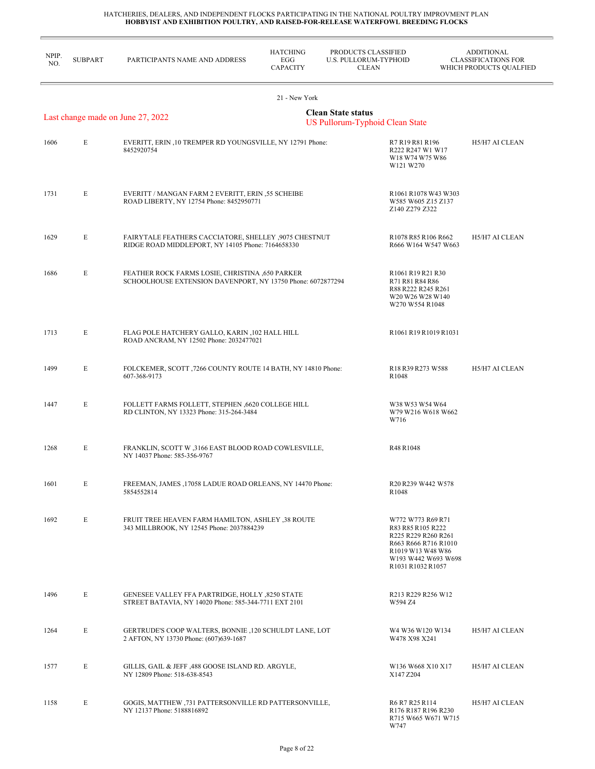| NPIP.<br>NO. | <b>SUBPART</b> | PARTICIPANTS NAME AND ADDRESS                                                                                  | <b>HATCHING</b><br>EGG<br><b>CAPACITY</b> | PRODUCTS CLASSIFIED<br><b>U.S. PULLORUM-TYPHOID</b><br><b>CLEAN</b> |                                                                                                                                                        | <b>ADDITIONAL</b><br><b>CLASSIFICATIONS FOR</b><br>WHICH PRODUCTS QUALFIED |
|--------------|----------------|----------------------------------------------------------------------------------------------------------------|-------------------------------------------|---------------------------------------------------------------------|--------------------------------------------------------------------------------------------------------------------------------------------------------|----------------------------------------------------------------------------|
|              |                |                                                                                                                | 21 - New York                             |                                                                     |                                                                                                                                                        |                                                                            |
|              |                | Last change made on June 27, 2022                                                                              |                                           | <b>Clean State status</b><br><b>US Pullorum-Typhoid Clean State</b> |                                                                                                                                                        |                                                                            |
| 1606         | E              | EVERITT, ERIN ,10 TREMPER RD YOUNGSVILLE, NY 12791 Phone:<br>8452920754                                        |                                           |                                                                     | R7 R19 R81 R196<br>R222 R247 W1 W17<br>W18 W74 W75 W86<br>W121 W270                                                                                    | H5/H7 AI CLEAN                                                             |
| 1731         | E              | EVERITT / MANGAN FARM 2 EVERITT, ERIN ,55 SCHEIBE<br>ROAD LIBERTY, NY 12754 Phone: 8452950771                  |                                           |                                                                     | R1061 R1078 W43 W303<br>W585 W605 Z15 Z137<br>Z140 Z279 Z322                                                                                           |                                                                            |
| 1629         | E              | FAIRYTALE FEATHERS CACCIATORE, SHELLEY ,9075 CHESTNUT<br>RIDGE ROAD MIDDLEPORT, NY 14105 Phone: 7164658330     |                                           |                                                                     | R1078 R85 R106 R662<br>R666 W164 W547 W663                                                                                                             | H5/H7 AI CLEAN                                                             |
| 1686         | E              | FEATHER ROCK FARMS LOSIE, CHRISTINA ,650 PARKER<br>SCHOOLHOUSE EXTENSION DAVENPORT, NY 13750 Phone: 6072877294 |                                           |                                                                     | R1061 R19 R21 R30<br>R71 R81 R84 R86<br>R88 R222 R245 R261<br>W20 W26 W28 W140<br>W270 W554 R1048                                                      |                                                                            |
| 1713         | E              | FLAG POLE HATCHERY GALLO, KARIN ,102 HALL HILL<br>ROAD ANCRAM, NY 12502 Phone: 2032477021                      |                                           |                                                                     | R1061 R19 R1019 R1031                                                                                                                                  |                                                                            |
| 1499         | E              | FOLCKEMER, SCOTT , 7266 COUNTY ROUTE 14 BATH, NY 14810 Phone:<br>607-368-9173                                  |                                           |                                                                     | R18 R39 R273 W588<br>R <sub>1048</sub>                                                                                                                 | H5/H7 AI CLEAN                                                             |
| 1447         | E              | FOLLETT FARMS FOLLETT, STEPHEN ,6620 COLLEGE HILL<br>RD CLINTON, NY 13323 Phone: 315-264-3484                  |                                           |                                                                     | W38 W53 W54 W64<br>W79 W216 W618 W662<br>W716                                                                                                          |                                                                            |
| 1268         | E              | FRANKLIN, SCOTT W ,3166 EAST BLOOD ROAD COWLESVILLE,<br>NY 14037 Phone: 585-356-9767                           |                                           |                                                                     | R48 R1048                                                                                                                                              |                                                                            |
| 1601         | E              | FREEMAN, JAMES, 17058 LADUE ROAD ORLEANS, NY 14470 Phone:<br>5854552814                                        |                                           |                                                                     | R <sub>20</sub> R <sub>239</sub> W <sub>442</sub> W <sub>578</sub><br>R <sub>1048</sub>                                                                |                                                                            |
| 1692         | E              | FRUIT TREE HEAVEN FARM HAMILTON, ASHLEY .38 ROUTE<br>343 MILLBROOK, NY 12545 Phone: 2037884239                 |                                           |                                                                     | W772 W773 R69 R71<br>R83 R85 R105 R222<br>R225 R229 R260 R261<br>R663 R666 R716 R1010<br>R1019 W13 W48 W86<br>W193 W442 W693 W698<br>R1031 R1032 R1057 |                                                                            |
| 1496         | E              | GENESEE VALLEY FFA PARTRIDGE, HOLLY ,8250 STATE<br>STREET BATAVIA, NY 14020 Phone: 585-344-7711 EXT 2101       |                                           |                                                                     | R213 R229 R256 W12<br>W594 Z4                                                                                                                          |                                                                            |
| 1264         | E              | GERTRUDE'S COOP WALTERS, BONNIE ,120 SCHULDT LANE, LOT<br>2 AFTON, NY 13730 Phone: (607)639-1687               |                                           |                                                                     | W4 W36 W120 W134<br>W478 X98 X241                                                                                                                      | H5/H7 AI CLEAN                                                             |
| 1577         | E              | GILLIS, GAIL & JEFF ,488 GOOSE ISLAND RD. ARGYLE,<br>NY 12809 Phone: 518-638-8543                              |                                           |                                                                     | W136 W668 X10 X17<br>X147 Z204                                                                                                                         | H5/H7 AI CLEAN                                                             |
| 1158         | E              | GOGIS, MATTHEW ,731 PATTERSONVILLE RD PATTERSONVILLE,<br>NY 12137 Phone: 5188816892                            |                                           |                                                                     | R6 R7 R25 R114<br>R176 R187 R196 R230<br>R715 W665 W671 W715<br>W747                                                                                   | H5/H7 AI CLEAN                                                             |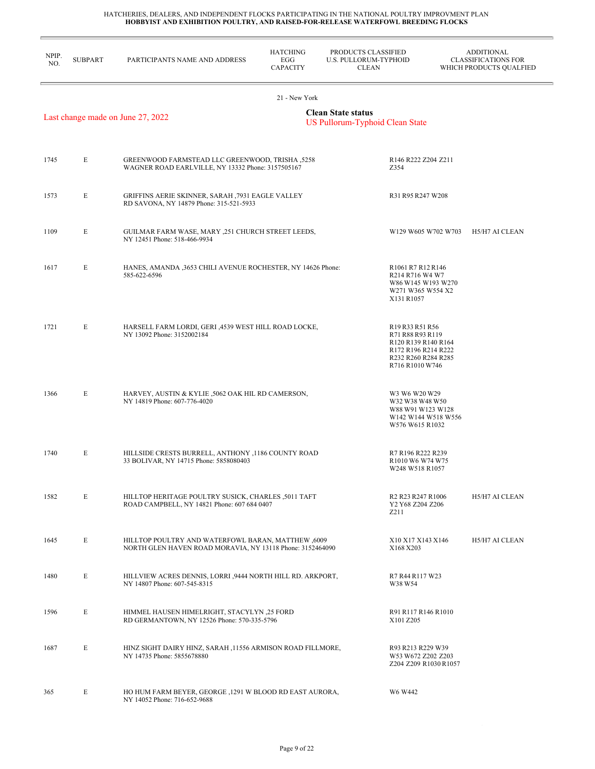| NPIP.<br>NO. | <b>SUBPART</b> | PARTICIPANTS NAME AND ADDRESS                                                                                   | <b>HATCHING</b><br>EGG<br><b>CAPACITY</b> | PRODUCTS CLASSIFIED<br>U.S. PULLORUM-TYPHOID<br><b>CLEAN</b> |                                                                                                                                                                                                                             | <b>ADDITIONAL</b><br><b>CLASSIFICATIONS FOR</b><br>WHICH PRODUCTS QUALFIED |
|--------------|----------------|-----------------------------------------------------------------------------------------------------------------|-------------------------------------------|--------------------------------------------------------------|-----------------------------------------------------------------------------------------------------------------------------------------------------------------------------------------------------------------------------|----------------------------------------------------------------------------|
|              |                |                                                                                                                 | 21 - New York                             |                                                              |                                                                                                                                                                                                                             |                                                                            |
|              |                | Last change made on June 27, 2022                                                                               |                                           | <b>Clean State status</b><br>US Pullorum-Typhoid Clean State |                                                                                                                                                                                                                             |                                                                            |
| 1745         | E              | 5258, GREENWOOD FARMSTEAD LLC GREENWOOD, TRISHA<br>WAGNER ROAD EARLVILLE, NY 13332 Phone: 3157505167            |                                           | Z354                                                         | R146 R222 Z204 Z211                                                                                                                                                                                                         |                                                                            |
| 1573         | E              | GRIFFINS AERIE SKINNER, SARAH ,7931 EAGLE VALLEY<br>RD SAVONA, NY 14879 Phone: 315-521-5933                     |                                           |                                                              | R31 R95 R247 W208                                                                                                                                                                                                           |                                                                            |
| 1109         | E              | GUILMAR FARM WASE, MARY ,251 CHURCH STREET LEEDS,<br>NY 12451 Phone: 518-466-9934                               |                                           |                                                              | W129 W605 W702 W703                                                                                                                                                                                                         | H5/H7 AI CLEAN                                                             |
| 1617         | E              | HANES, AMANDA ,3653 CHILI AVENUE ROCHESTER, NY 14626 Phone:<br>585-622-6596                                     |                                           |                                                              | R1061 R7 R12 R146<br>R <sub>2</sub> 14 R <sub>716</sub> W <sub>4</sub> W <sub>7</sub><br>W86 W145 W193 W270<br>W271 W365 W554 X2<br>X131 R1057                                                                              |                                                                            |
| 1721         | E              | HARSELL FARM LORDI, GERI , 4539 WEST HILL ROAD LOCKE,<br>NY 13092 Phone: 3152002184                             |                                           |                                                              | R <sub>19</sub> R <sub>33</sub> R <sub>51</sub> R <sub>56</sub><br>R71 R88 R93 R119<br>R120 R139 R140 R164<br>R <sub>172</sub> R <sub>196</sub> R <sub>214</sub> R <sub>222</sub><br>R232 R260 R284 R285<br>R716 R1010 W746 |                                                                            |
| 1366         | E              | HARVEY, AUSTIN & KYLIE ,5062 OAK HIL RD CAMERSON,<br>NY 14819 Phone: 607-776-4020                               |                                           |                                                              | W3 W6 W20 W29<br>W32 W38 W48 W50<br>W88 W91 W123 W128<br>W142 W144 W518 W556<br>W576 W615 R1032                                                                                                                             |                                                                            |
| 1740         | E              | HILLSIDE CRESTS BURRELL, ANTHONY , 1186 COUNTY ROAD<br>33 BOLIVAR, NY 14715 Phone: 5858080403                   |                                           |                                                              | R7 R196 R222 R239<br>R1010 W6 W74 W75<br>W248 W518 R1057                                                                                                                                                                    |                                                                            |
| 1582         | E              | HILLTOP HERITAGE POULTRY SUSICK, CHARLES ,5011 TAFT<br>ROAD CAMPBELL, NY 14821 Phone: 607 684 0407              |                                           | Z211                                                         | R <sub>2</sub> R <sub>23</sub> R <sub>247</sub> R <sub>1006</sub><br>Y2 Y68 Z204 Z206                                                                                                                                       | H5/H7 AI CLEAN                                                             |
| 1645         | E              | HILLTOP POULTRY AND WATERFOWL BARAN, MATTHEW ,6009<br>NORTH GLEN HAVEN ROAD MORAVIA, NY 13118 Phone: 3152464090 |                                           |                                                              | X10 X17 X143 X146<br>X168 X203                                                                                                                                                                                              | H5/H7 AI CLEAN                                                             |
| 1480         | E              | HILLVIEW ACRES DENNIS, LORRI ,9444 NORTH HILL RD. ARKPORT,<br>NY 14807 Phone: 607-545-8315                      |                                           |                                                              | R7 R44 R117 W23<br>W38 W54                                                                                                                                                                                                  |                                                                            |
| 1596         | E              | HIMMEL HAUSEN HIMELRIGHT, STACYLYN, 25 FORD<br>RD GERMANTOWN, NY 12526 Phone: 570-335-5796                      |                                           |                                                              | R91 R117 R146 R1010<br>X101 Z205                                                                                                                                                                                            |                                                                            |
| 1687         | E              | HINZ SIGHT DAIRY HINZ, SARAH ,11556 ARMISON ROAD FILLMORE,<br>NY 14735 Phone: 5855678880                        |                                           |                                                              | R93 R213 R229 W39<br>W53 W672 Z202 Z203<br>Z204 Z209 R1030 R1057                                                                                                                                                            |                                                                            |
| 365          | E              | HO HUM FARM BEYER, GEORGE , 1291 W BLOOD RD EAST AURORA,<br>NY 14052 Phone: 716-652-9688                        |                                           |                                                              | W6 W442                                                                                                                                                                                                                     |                                                                            |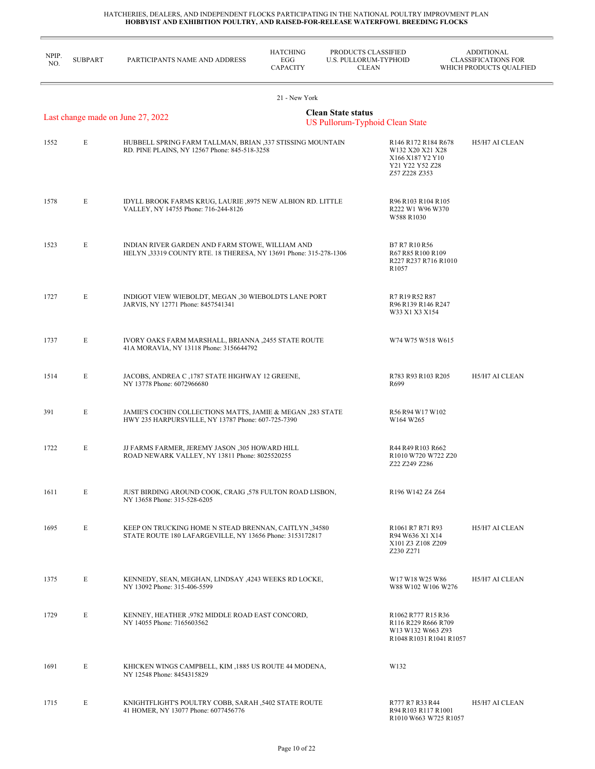| NPIP.<br>NO. | <b>SUBPART</b> | PARTICIPANTS NAME AND ADDRESS                                                                                       | <b>HATCHING</b><br>EGG<br><b>CAPACITY</b> | PRODUCTS CLASSIFIED<br>U.S. PULLORUM-TYPHOID<br><b>CLEAN</b> |                                                                                                                                                 | <b>ADDITIONAL</b><br><b>CLASSIFICATIONS FOR</b><br>WHICH PRODUCTS QUALFIED |
|--------------|----------------|---------------------------------------------------------------------------------------------------------------------|-------------------------------------------|--------------------------------------------------------------|-------------------------------------------------------------------------------------------------------------------------------------------------|----------------------------------------------------------------------------|
|              |                |                                                                                                                     | 21 - New York                             |                                                              |                                                                                                                                                 |                                                                            |
|              |                | Last change made on June 27, 2022                                                                                   |                                           | <b>Clean State status</b><br>US Pullorum-Typhoid Clean State |                                                                                                                                                 |                                                                            |
| 1552         | E              | HUBBELL SPRING FARM TALLMAN, BRIAN ,337 STISSING MOUNTAIN<br>RD. PINE PLAINS, NY 12567 Phone: 845-518-3258          |                                           |                                                              | R <sub>146</sub> R <sub>172</sub> R <sub>184</sub> R <sub>678</sub><br>W132 X20 X21 X28<br>X166 X187 Y2 Y10<br>Y21 Y22 Y52 Z28<br>Z57 Z228 Z353 | H5/H7 AI CLEAN                                                             |
| 1578         | E              | IDYLL BROOK FARMS KRUG, LAURIE ,8975 NEW ALBION RD. LITTLE<br>VALLEY, NY 14755 Phone: 716-244-8126                  |                                           |                                                              | R96 R103 R104 R105<br>R222 W1 W96 W370<br>W588 R1030                                                                                            |                                                                            |
| 1523         | E              | INDIAN RIVER GARDEN AND FARM STOWE, WILLIAM AND<br>HELYN 33319 COUNTY RTE. 18 THERESA, NY 13691 Phone: 315-278-1306 |                                           |                                                              | B7 R7 R10 R56<br>R67 R85 R100 R109<br>R227 R237 R716 R1010<br>R1057                                                                             |                                                                            |
| 1727         | E              | INDIGOT VIEW WIEBOLDT, MEGAN ,30 WIEBOLDTS LANE PORT<br>JARVIS, NY 12771 Phone: 8457541341                          |                                           |                                                              | R7 R19 R52 R87<br>R96 R139 R146 R247<br>W33 X1 X3 X154                                                                                          |                                                                            |
| 1737         | E              | IVORY OAKS FARM MARSHALL, BRIANNA ,2455 STATE ROUTE<br>41A MORAVIA, NY 13118 Phone: 3156644792                      |                                           |                                                              | W74 W75 W518 W615                                                                                                                               |                                                                            |
| 1514         | E              | JACOBS, ANDREA C , 1787 STATE HIGHWAY 12 GREENE,<br>NY 13778 Phone: 6072966680                                      |                                           |                                                              | R783 R93 R103 R205<br>R699                                                                                                                      | H5/H7 AI CLEAN                                                             |
| 391          | E              | JAMIE'S COCHIN COLLECTIONS MATTS, JAMIE & MEGAN ,283 STATE<br>HWY 235 HARPURSVILLE, NY 13787 Phone: 607-725-7390    |                                           |                                                              | R56 R94 W17 W102<br>W164 W265                                                                                                                   |                                                                            |
| 1722         | E              | JJ FARMS FARMER, JEREMY JASON ,305 HOWARD HILL<br>ROAD NEWARK VALLEY, NY 13811 Phone: 8025520255                    |                                           |                                                              | R44 R49 R103 R662<br>R1010 W720 W722 Z20<br>Z22 Z249 Z286                                                                                       |                                                                            |
| 1611         | E              | JUST BIRDING AROUND COOK, CRAIG ,578 FULTON ROAD LISBON,<br>NY 13658 Phone: 315-528-6205                            |                                           |                                                              | R <sub>196</sub> W <sub>142</sub> Z <sub>4</sub> Z <sub>64</sub>                                                                                |                                                                            |
| 1695         | E              | KEEP ON TRUCKING HOME N STEAD BRENNAN, CAITLYN ,34580<br>STATE ROUTE 180 LAFARGEVILLE, NY 13656 Phone: 3153172817   |                                           |                                                              | R1061 R7 R71 R93<br>R94 W636 X1 X14<br>X101 Z3 Z108 Z209<br>Z230 Z271                                                                           | H5/H7 AI CLEAN                                                             |
| 1375         | E              | KENNEDY, SEAN, MEGHAN, LINDSAY , 4243 WEEKS RD LOCKE,<br>NY 13092 Phone: 315-406-5599                               |                                           |                                                              | W17 W18 W25 W86<br>W88 W102 W106 W276                                                                                                           | H5/H7 AI CLEAN                                                             |
| 1729         | E              | KENNEY, HEATHER ,9782 MIDDLE ROAD EAST CONCORD,<br>NY 14055 Phone: 7165603562                                       |                                           |                                                              | R <sub>1062</sub> R <sub>777</sub> R <sub>15</sub> R <sub>36</sub><br>R116 R229 R666 R709<br>W13 W132 W663 Z93<br>R1048 R1031 R1041 R1057       |                                                                            |
| 1691         | E              | KHICKEN WINGS CAMPBELL, KIM , 1885 US ROUTE 44 MODENA,<br>NY 12548 Phone: 8454315829                                |                                           |                                                              | W132                                                                                                                                            |                                                                            |
| 1715         | E              | KNIGHTFLIGHT'S POULTRY COBB, SARAH ,5402 STATE ROUTE<br>41 HOMER, NY 13077 Phone: 6077456776                        |                                           |                                                              | R777 R7 R33 R44<br>R94 R103 R117 R1001<br>R1010 W663 W725 R1057                                                                                 | H5/H7 AI CLEAN                                                             |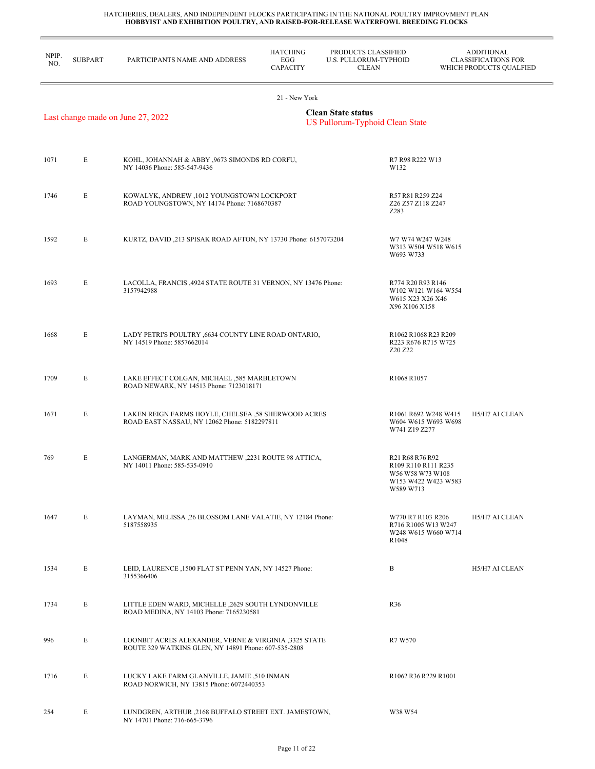| NPIP.<br>NO. | <b>SUBPART</b> | PARTICIPANTS NAME AND ADDRESS                                                                                 | <b>HATCHING</b><br>EGG<br><b>CAPACITY</b> | PRODUCTS CLASSIFIED<br>U.S. PULLORUM-TYPHOID<br><b>CLEAN</b> |                                                                                                                                                | <b>ADDITIONAL</b><br><b>CLASSIFICATIONS FOR</b><br>WHICH PRODUCTS QUALFIED |
|--------------|----------------|---------------------------------------------------------------------------------------------------------------|-------------------------------------------|--------------------------------------------------------------|------------------------------------------------------------------------------------------------------------------------------------------------|----------------------------------------------------------------------------|
|              |                |                                                                                                               | 21 - New York                             |                                                              |                                                                                                                                                |                                                                            |
|              |                | Last change made on June 27, 2022                                                                             |                                           | <b>Clean State status</b><br>US Pullorum-Typhoid Clean State |                                                                                                                                                |                                                                            |
| 1071         | E              | KOHL, JOHANNAH & ABBY ,9673 SIMONDS RD CORFU,<br>NY 14036 Phone: 585-547-9436                                 |                                           | W132                                                         | R7 R98 R222 W13                                                                                                                                |                                                                            |
| 1746         | E              | KOWALYK, ANDREW , 1012 YOUNGSTOWN LOCKPORT<br>ROAD YOUNGSTOWN, NY 14174 Phone: 7168670387                     |                                           | Z283                                                         | R57 R81 R259 Z24<br>Z26 Z57 Z118 Z247                                                                                                          |                                                                            |
| 1592         | E              | KURTZ, DAVID, 213 SPISAK ROAD AFTON, NY 13730 Phone: 6157073204                                               |                                           |                                                              | W7 W74 W247 W248<br>W313 W504 W518 W615<br>W693 W733                                                                                           |                                                                            |
| 1693         | E              | LACOLLA, FRANCIS, 4924 STATE ROUTE 31 VERNON, NY 13476 Phone:<br>3157942988                                   |                                           |                                                              | R774 R20 R93 R146<br>W102 W121 W164 W554<br>W615 X23 X26 X46<br>X96 X106 X158                                                                  |                                                                            |
| 1668         | E              | LADY PETRI'S POULTRY ,6634 COUNTY LINE ROAD ONTARIO,<br>NY 14519 Phone: 5857662014                            |                                           |                                                              | R1062 R1068 R23 R209<br>R223 R676 R715 W725<br>Z20 Z22                                                                                         |                                                                            |
| 1709         | E              | LAKE EFFECT COLGAN, MICHAEL ,585 MARBLETOWN<br>ROAD NEWARK, NY 14513 Phone: 7123018171                        |                                           |                                                              | R1068 R1057                                                                                                                                    |                                                                            |
| 1671         | E              | LAKEN REIGN FARMS HOYLE, CHELSEA ,58 SHERWOOD ACRES<br>ROAD EAST NASSAU, NY 12062 Phone: 5182297811           |                                           |                                                              | R1061 R692 W248 W415<br>W604 W615 W693 W698<br>W741 Z19 Z277                                                                                   | H5/H7 AI CLEAN                                                             |
| 769          | E              | LANGERMAN, MARK AND MATTHEW , 2231 ROUTE 98 ATTICA,<br>NY 14011 Phone: 585-535-0910                           |                                           |                                                              | R <sub>21</sub> R <sub>68</sub> R <sub>76</sub> R <sub>92</sub><br>R109 R110 R111 R235<br>W56 W58 W73 W108<br>W153 W422 W423 W583<br>W589 W713 |                                                                            |
| 1647         | E              | LAYMAN, MELISSA ,26 BLOSSOM LANE VALATIE, NY 12184 Phone:<br>5187558935                                       |                                           |                                                              | W770 R7 R103 R206<br>R716 R1005 W13 W247<br>W248 W615 W660 W714<br>R <sub>1048</sub>                                                           | H5/H7 AI CLEAN                                                             |
| 1534         | E              | LEID, LAURENCE , 1500 FLAT ST PENN YAN, NY 14527 Phone:<br>3155366406                                         |                                           | B                                                            |                                                                                                                                                | H5/H7 AI CLEAN                                                             |
| 1734         | E              | LITTLE EDEN WARD, MICHELLE ,2629 SOUTH LYNDONVILLE<br>ROAD MEDINA, NY 14103 Phone: 7165230581                 |                                           | R <sub>36</sub>                                              |                                                                                                                                                |                                                                            |
| 996          | E              | LOONBIT ACRES ALEXANDER, VERNE & VIRGINIA ,3325 STATE<br>ROUTE 329 WATKINS GLEN, NY 14891 Phone: 607-535-2808 |                                           |                                                              | R7 W570                                                                                                                                        |                                                                            |
| 1716         | E              | LUCKY LAKE FARM GLANVILLE, JAMIE ,510 INMAN<br>ROAD NORWICH, NY 13815 Phone: 6072440353                       |                                           |                                                              | R1062 R36 R229 R1001                                                                                                                           |                                                                            |
| 254          | E              | LUNDGREN, ARTHUR , 2168 BUFFALO STREET EXT. JAMESTOWN,<br>NY 14701 Phone: 716-665-3796                        |                                           |                                                              | W38 W54                                                                                                                                        |                                                                            |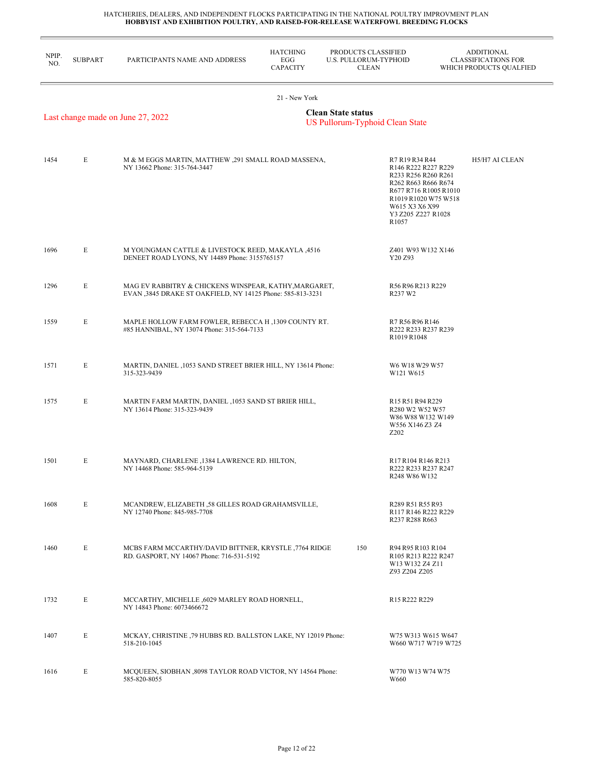| NPIP.<br>NO. | <b>SUBPART</b> | PARTICIPANTS NAME AND ADDRESS                                                                                        | <b>HATCHING</b><br>EGG<br><b>CAPACITY</b> | PRODUCTS CLASSIFIED<br>U.S. PULLORUM-TYPHOID<br><b>CLEAN</b> |                                                                                                                                                                                       | <b>ADDITIONAL</b><br><b>CLASSIFICATIONS FOR</b><br>WHICH PRODUCTS QUALFIED |
|--------------|----------------|----------------------------------------------------------------------------------------------------------------------|-------------------------------------------|--------------------------------------------------------------|---------------------------------------------------------------------------------------------------------------------------------------------------------------------------------------|----------------------------------------------------------------------------|
|              |                | Last change made on June 27, 2022                                                                                    | 21 - New York                             | <b>Clean State status</b><br>US Pullorum-Typhoid Clean State |                                                                                                                                                                                       |                                                                            |
|              |                |                                                                                                                      |                                           |                                                              |                                                                                                                                                                                       |                                                                            |
| 1454         | E              | M & M EGGS MARTIN, MATTHEW , 291 SMALL ROAD MASSENA,<br>NY 13662 Phone: 315-764-3447                                 |                                           |                                                              | R7 R19 R34 R44<br>R146 R222 R227 R229<br>R233 R256 R260 R261<br>R262 R663 R666 R674<br>R677 R716 R1005 R1010<br>R1019 R1020 W75 W518<br>W615 X3 X6 X99<br>Y3 Z205 Z227 R1028<br>R1057 | H5/H7 AI CLEAN                                                             |
| 1696         | E              | M YOUNGMAN CATTLE & LIVESTOCK REED, MAKAYLA ,4516<br>DENEET ROAD LYONS, NY 14489 Phone: 3155765157                   |                                           |                                                              | Z401 W93 W132 X146<br>Y20 Z93                                                                                                                                                         |                                                                            |
| 1296         | E              | MAG EV RABBITRY & CHICKENS WINSPEAR, KATHY, MARGARET,<br>EVAN , 3845 DRAKE ST OAKFIELD, NY 14125 Phone: 585-813-3231 |                                           |                                                              | R56 R96 R213 R229<br>R237 W2                                                                                                                                                          |                                                                            |
| 1559         | E              | MAPLE HOLLOW FARM FOWLER, REBECCA H, 1309 COUNTY RT.<br>#85 HANNIBAL, NY 13074 Phone: 315-564-7133                   |                                           |                                                              | R7 R56 R96 R146<br>R222 R233 R237 R239<br>R1019 R1048                                                                                                                                 |                                                                            |
| 1571         | E              | MARTIN, DANIEL, 1053 SAND STREET BRIER HILL, NY 13614 Phone:<br>315-323-9439                                         |                                           |                                                              | W6 W18 W29 W57<br>W121 W615                                                                                                                                                           |                                                                            |
| 1575         | E              | MARTIN FARM MARTIN, DANIEL , 1053 SAND ST BRIER HILL,<br>NY 13614 Phone: 315-323-9439                                |                                           |                                                              | R <sub>15</sub> R <sub>51</sub> R <sub>94</sub> R <sub>229</sub><br>R <sub>280</sub> W <sub>2</sub> W <sub>52</sub> W <sub>57</sub><br>W86 W88 W132 W149<br>W556 X146 Z3 Z4<br>Z202   |                                                                            |
| 1501         | E              | MAYNARD, CHARLENE, 1384 LAWRENCE RD. HILTON,<br>NY 14468 Phone: 585-964-5139                                         |                                           |                                                              | R17 R104 R146 R213<br>R222 R233 R237 R247<br>R <sub>248</sub> W <sub>86</sub> W <sub>132</sub>                                                                                        |                                                                            |
| 1608         | E              | MCANDREW, ELIZABETH ,58 GILLES ROAD GRAHAMSVILLE,<br>NY 12740 Phone: 845-985-7708                                    |                                           |                                                              | R289 R51 R55 R93<br>R117 R146 R222 R229<br>R237 R288 R663                                                                                                                             |                                                                            |
| 1460         | E              | MCBS FARM MCCARTHY/DAVID BITTNER, KRYSTLE, 7764 RIDGE<br>RD. GASPORT, NY 14067 Phone: 716-531-5192                   |                                           | 150                                                          | R94 R95 R103 R104<br>R105 R213 R222 R247<br>W13 W132 Z4 Z11<br>Z93 Z204 Z205                                                                                                          |                                                                            |
| 1732         | E              | MCCARTHY, MICHELLE ,6029 MARLEY ROAD HORNELL,<br>NY 14843 Phone: 6073466672                                          |                                           |                                                              | R15 R222 R229                                                                                                                                                                         |                                                                            |
| 1407         | E              | MCKAY, CHRISTINE 79 HUBBS RD. BALLSTON LAKE, NY 12019 Phone:<br>518-210-1045                                         |                                           |                                                              | W75 W313 W615 W647<br>W660 W717 W719 W725                                                                                                                                             |                                                                            |
| 1616         | E              | MCQUEEN, SIOBHAN , 8098 TAYLOR ROAD VICTOR, NY 14564 Phone:<br>585-820-8055                                          |                                           |                                                              | W770 W13 W74 W75<br>W660                                                                                                                                                              |                                                                            |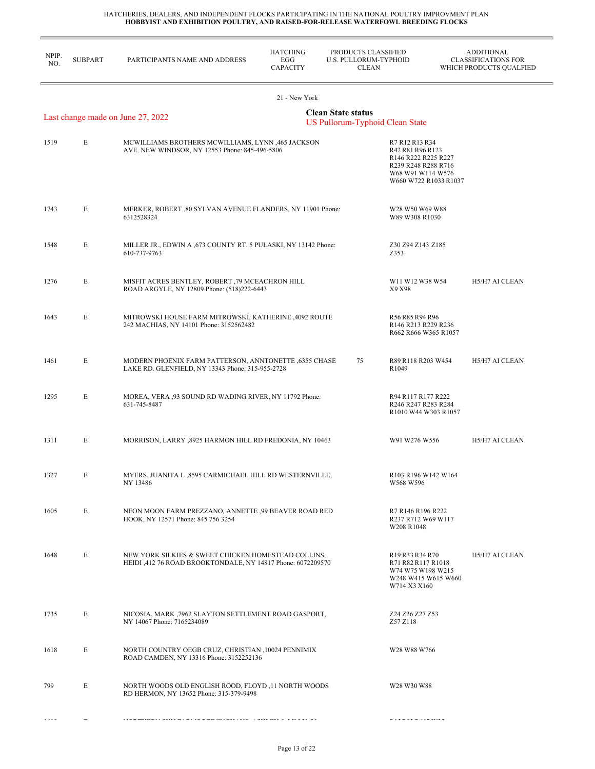| NPIP.<br>NO. | <b>SUBPART</b> | PARTICIPANTS NAME AND ADDRESS                                                                                      | <b>HATCHING</b><br>EGG<br><b>CAPACITY</b> | PRODUCTS CLASSIFIED<br>U.S. PULLORUM-TYPHOID<br><b>CLEAN</b> |                                                                                                                                                   | <b>ADDITIONAL</b><br><b>CLASSIFICATIONS FOR</b><br>WHICH PRODUCTS QUALFIED |  |
|--------------|----------------|--------------------------------------------------------------------------------------------------------------------|-------------------------------------------|--------------------------------------------------------------|---------------------------------------------------------------------------------------------------------------------------------------------------|----------------------------------------------------------------------------|--|
|              |                |                                                                                                                    | 21 - New York                             |                                                              |                                                                                                                                                   |                                                                            |  |
|              |                | Last change made on June 27, 2022                                                                                  |                                           | <b>Clean State status</b><br>US Pullorum-Typhoid Clean State |                                                                                                                                                   |                                                                            |  |
| 1519         | E              | MCWILLIAMS BROTHERS MCWILLIAMS, LYNN ,465 JACKSON<br>AVE. NEW WINDSOR, NY 12553 Phone: 845-496-5806                |                                           |                                                              | R7 R12 R13 R34<br>R42 R81 R96 R123<br>R146 R222 R225 R227<br>R239 R248 R288 R716<br>W68 W91 W114 W576<br>W660 W722 R1033 R1037                    |                                                                            |  |
| 1743         | E              | MERKER, ROBERT , 80 SYLVAN AVENUE FLANDERS, NY 11901 Phone:<br>6312528324                                          |                                           |                                                              | W28 W50 W69 W88<br>W89 W308 R1030                                                                                                                 |                                                                            |  |
| 1548         | E              | MILLER JR., EDWIN A , 673 COUNTY RT. 5 PULASKI, NY 13142 Phone:<br>610-737-9763                                    |                                           |                                                              | Z30 Z94 Z143 Z185<br>Z353                                                                                                                         |                                                                            |  |
| 1276         | E              | MISFIT ACRES BENTLEY, ROBERT ,79 MCEACHRON HILL<br>ROAD ARGYLE, NY 12809 Phone: (518)222-6443                      |                                           |                                                              | W11 W12 W38 W54<br>X9 X98                                                                                                                         | H5/H7 AI CLEAN                                                             |  |
| 1643         | E              | MITROWSKI HOUSE FARM MITROWSKI, KATHERINE ,4092 ROUTE<br>242 MACHIAS, NY 14101 Phone: 3152562482                   |                                           |                                                              | R56 R85 R94 R96<br>R146 R213 R229 R236<br>R662 R666 W365 R1057                                                                                    |                                                                            |  |
| 1461         | E              | MODERN PHOENIX FARM PATTERSON, ANNTONETTE ,6355 CHASE<br>LAKE RD. GLENFIELD, NY 13343 Phone: 315-955-2728          |                                           | 75                                                           | R89 R118 R203 W454<br>R1049                                                                                                                       | H5/H7 AI CLEAN                                                             |  |
| 1295         | E              | MOREA, VERA ,93 SOUND RD WADING RIVER, NY 11792 Phone:<br>631-745-8487                                             |                                           |                                                              | R94 R117 R177 R222<br>R246 R247 R283 R284<br>R1010 W44 W303 R1057                                                                                 |                                                                            |  |
| 1311         | E              | MORRISON, LARRY ,8925 HARMON HILL RD FREDONIA, NY 10463                                                            |                                           |                                                              | W91 W276 W556                                                                                                                                     | H5/H7 AI CLEAN                                                             |  |
| 1327         | Е              | MYERS, JUANITA L ,8595 CARMICHAEL HILL RD WESTERNVILLE,<br>NY 13486                                                |                                           |                                                              | R103 R196 W142 W164<br>W568 W596                                                                                                                  |                                                                            |  |
| 1605         | E              | NEON MOON FARM PREZZANO, ANNETTE ,99 BEAVER ROAD RED<br>HOOK, NY 12571 Phone: 845 756 3254                         |                                           |                                                              | R7 R146 R196 R222<br>R237 R712 W69 W117<br>W208 R1048                                                                                             |                                                                            |  |
| 1648         | Е              | NEW YORK SILKIES & SWEET CHICKEN HOMESTEAD COLLINS,<br>HEIDI ,412 76 ROAD BROOKTONDALE, NY 14817 Phone: 6072209570 |                                           |                                                              | R <sub>19</sub> R <sub>33</sub> R <sub>34</sub> R <sub>70</sub><br>R71 R82 R117 R1018<br>W74 W75 W198 W215<br>W248 W415 W615 W660<br>W714 X3 X160 | H5/H7 AI CLEAN                                                             |  |
| 1735         | E              | NICOSIA, MARK ,7962 SLAYTON SETTLEMENT ROAD GASPORT,<br>NY 14067 Phone: 7165234089                                 |                                           |                                                              | Z24 Z26 Z27 Z53<br>Z57 Z118                                                                                                                       |                                                                            |  |
| 1618         | E              | NORTH COUNTRY OEGB CRUZ, CHRISTIAN ,10024 PENNIMIX<br>ROAD CAMDEN, NY 13316 Phone: 3152252136                      |                                           |                                                              | W28 W88 W766                                                                                                                                      |                                                                            |  |
| 799          | E              | NORTH WOODS OLD ENGLISH ROOD, FLOYD ,11 NORTH WOODS<br>RD HERMON, NY 13652 Phone: 315-379-9498                     |                                           |                                                              | W28 W30 W88                                                                                                                                       |                                                                            |  |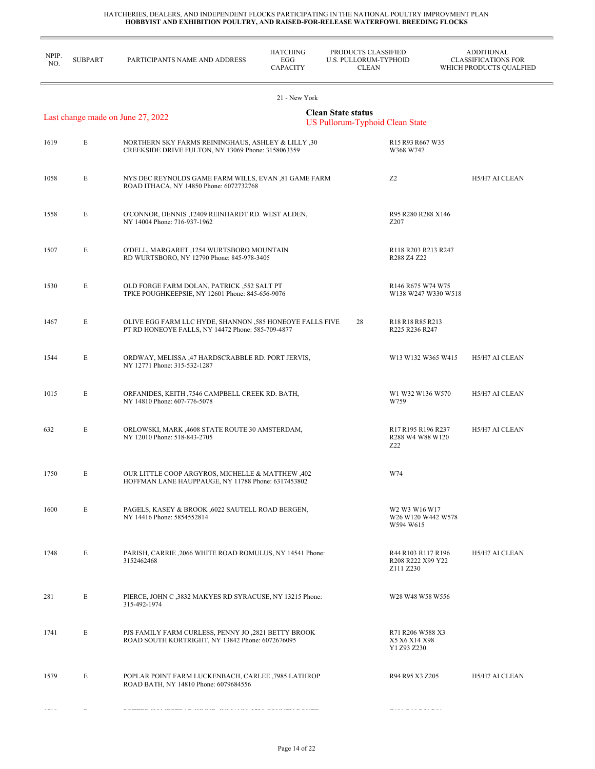L,

| NPIP.<br>NO. | <b>SUBPART</b> | PARTICIPANTS NAME AND ADDRESS                                                                                 | <b>HATCHING</b><br>EGG<br><b>CAPACITY</b> | PRODUCTS CLASSIFIED<br><b>U.S. PULLORUM-TYPHOID</b><br><b>CLEAN</b> |                                                      | <b>ADDITIONAL</b><br><b>CLASSIFICATIONS FOR</b><br>WHICH PRODUCTS QUALFIED |
|--------------|----------------|---------------------------------------------------------------------------------------------------------------|-------------------------------------------|---------------------------------------------------------------------|------------------------------------------------------|----------------------------------------------------------------------------|
|              |                |                                                                                                               | 21 - New York                             |                                                                     |                                                      |                                                                            |
|              |                | Last change made on June 27, 2022                                                                             |                                           | <b>Clean State status</b><br>US Pullorum-Typhoid Clean State        |                                                      |                                                                            |
| 1619         | E              | NORTHERN SKY FARMS REININGHAUS, ASHLEY & LILLY 30<br>CREEKSIDE DRIVE FULTON, NY 13069 Phone: 3158063359       |                                           |                                                                     | R15 R93 R667 W35<br>W368 W747                        |                                                                            |
| 1058         | E              | NYS DEC REYNOLDS GAME FARM WILLS, EVAN ,81 GAME FARM<br>ROAD ITHACA, NY 14850 Phone: 6072732768               |                                           |                                                                     | Z <sub>2</sub>                                       | H5/H7 AI CLEAN                                                             |
| 1558         | E              | O'CONNOR, DENNIS , 12409 REINHARDT RD. WEST ALDEN,<br>NY 14004 Phone: 716-937-1962                            |                                           |                                                                     | R95 R280 R288 X146<br>Z <sub>207</sub>               |                                                                            |
| 1507         | E              | O'DELL, MARGARET ,1254 WURTSBORO MOUNTAIN<br>RD WURTSBORO, NY 12790 Phone: 845-978-3405                       |                                           |                                                                     | R118 R203 R213 R247<br>R288 Z4 Z22                   |                                                                            |
| 1530         | E              | OLD FORGE FARM DOLAN, PATRICK ,552 SALT PT<br>TPKE POUGHKEEPSIE, NY 12601 Phone: 845-656-9076                 |                                           |                                                                     | R146 R675 W74 W75<br>W138 W247 W330 W518             |                                                                            |
| 1467         | E              | OLIVE EGG FARM LLC HYDE, SHANNON ,585 HONEOYE FALLS FIVE<br>PT RD HONEOYE FALLS, NY 14472 Phone: 585-709-4877 |                                           | 28                                                                  | R18 R18 R85 R213<br>R225 R236 R247                   |                                                                            |
| 1544         | E              | ORDWAY, MELISSA ,47 HARDSCRABBLE RD. PORT JERVIS,<br>NY 12771 Phone: 315-532-1287                             |                                           |                                                                     | W13 W132 W365 W415                                   | H5/H7 AI CLEAN                                                             |
| 1015         | E              | ORFANIDES, KEITH , 7546 CAMPBELL CREEK RD. BATH,<br>NY 14810 Phone: 607-776-5078                              |                                           |                                                                     | W1 W32 W136 W570<br>W759                             | H5/H7 AI CLEAN                                                             |
| 632          | E              | ORLOWSKI, MARK, 4608 STATE ROUTE 30 AMSTERDAM,<br>NY 12010 Phone: 518-843-2705                                |                                           |                                                                     | R17 R195 R196 R237<br>R288 W4 W88 W120<br>Z22        | H5/H7 AI CLEAN                                                             |
| 1750         | E              | OUR LITTLE COOP ARGYROS, MICHELLE & MATTHEW ,402<br>HOFFMAN LANE HAUPPAUGE, NY 11788 Phone: 6317453802        |                                           |                                                                     | W74                                                  |                                                                            |
| 1600         | E              | PAGELS, KASEY & BROOK ,6022 SAUTELL ROAD BERGEN,<br>NY 14416 Phone: 5854552814                                |                                           |                                                                     | W2 W3 W16 W17<br>W26 W120 W442 W578<br>W594 W615     |                                                                            |
| 1748         | E              | PARISH, CARRIE , 2066 WHITE ROAD ROMULUS, NY 14541 Phone:<br>3152462468                                       |                                           |                                                                     | R44 R103 R117 R196<br>R208 R222 X99 Y22<br>Z111 Z230 | H5/H7 AI CLEAN                                                             |
| 281          | E              | PIERCE, JOHN C ,3832 MAKYES RD SYRACUSE, NY 13215 Phone:<br>315-492-1974                                      |                                           |                                                                     | W28 W48 W58 W556                                     |                                                                            |
| 1741         | E              | PJS FAMILY FARM CURLESS, PENNY JO ,2821 BETTY BROOK<br>ROAD SOUTH KORTRIGHT, NY 13842 Phone: 6072676095       |                                           |                                                                     | R71 R206 W588 X3<br>X5 X6 X14 X98<br>Y1 Z93 Z230     |                                                                            |
| 1579         | E              | POPLAR POINT FARM LUCKENBACH, CARLEE ,7985 LATHROP<br>ROAD BATH, NY 14810 Phone: 6079684556                   |                                           |                                                                     | R94 R95 X3 Z205                                      | H5/H7 AI CLEAN                                                             |
|              |                |                                                                                                               |                                           |                                                                     |                                                      |                                                                            |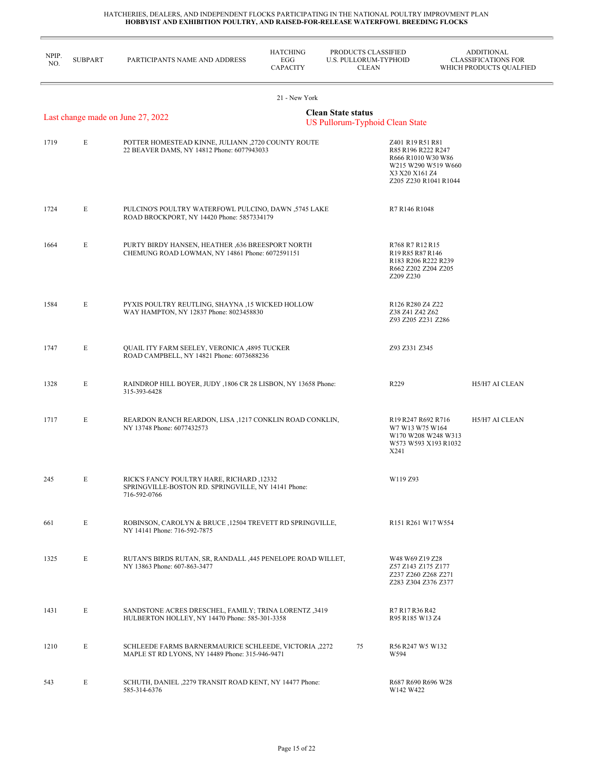| NPIP.<br>NO. | <b>SUBPART</b>                                                                                    | PARTICIPANTS NAME AND ADDRESS                                                                                    | <b>HATCHING</b><br>EGG<br><b>CAPACITY</b>                                                                                                      | PRODUCTS CLASSIFIED<br>U.S. PULLORUM-TYPHOID<br>CLEAN |                                                                                                                                | <b>ADDITIONAL</b><br><b>CLASSIFICATIONS FOR</b><br>WHICH PRODUCTS QUALFIED |  |  |  |
|--------------|---------------------------------------------------------------------------------------------------|------------------------------------------------------------------------------------------------------------------|------------------------------------------------------------------------------------------------------------------------------------------------|-------------------------------------------------------|--------------------------------------------------------------------------------------------------------------------------------|----------------------------------------------------------------------------|--|--|--|
|              |                                                                                                   |                                                                                                                  | 21 - New York                                                                                                                                  |                                                       |                                                                                                                                |                                                                            |  |  |  |
|              | <b>Clean State status</b><br>Last change made on June 27, 2022<br>US Pullorum-Typhoid Clean State |                                                                                                                  |                                                                                                                                                |                                                       |                                                                                                                                |                                                                            |  |  |  |
| 1719         | E                                                                                                 | POTTER HOMESTEAD KINNE, JULIANN ,2720 COUNTY ROUTE<br>22 BEAVER DAMS, NY 14812 Phone: 6077943033                 |                                                                                                                                                |                                                       | Z401 R19 R51 R81<br>R85 R196 R222 R247<br>R666 R1010 W30 W86<br>W215 W290 W519 W660<br>X3 X20 X161 Z4<br>Z205 Z230 R1041 R1044 |                                                                            |  |  |  |
| 1724         | E                                                                                                 | PULCINO'S POULTRY WATERFOWL PULCINO, DAWN ,5745 LAKE<br>ROAD BROCKPORT, NY 14420 Phone: 5857334179               |                                                                                                                                                |                                                       | R7 R146 R1048                                                                                                                  |                                                                            |  |  |  |
| 1664         | E                                                                                                 | PURTY BIRDY HANSEN, HEATHER ,636 BREESPORT NORTH<br>CHEMUNG ROAD LOWMAN, NY 14861 Phone: 6072591151              | R768 R7 R12 R15<br>R <sub>19</sub> R <sub>85</sub> R <sub>87</sub> R <sub>146</sub><br>R183 R206 R222 R239<br>R662 Z202 Z204 Z205<br>Z209 Z230 |                                                       |                                                                                                                                |                                                                            |  |  |  |
| 1584         | E                                                                                                 | PYXIS POULTRY REUTLING, SHAYNA ,15 WICKED HOLLOW<br>WAY HAMPTON, NY 12837 Phone: 8023458830                      | R126 R280 Z4 Z22<br>Z38 Z41 Z42 Z62<br>Z93 Z205 Z231 Z286                                                                                      |                                                       |                                                                                                                                |                                                                            |  |  |  |
| 1747         | E                                                                                                 | QUAIL ITY FARM SEELEY, VERONICA ,4895 TUCKER<br>ROAD CAMPBELL, NY 14821 Phone: 6073688236                        |                                                                                                                                                |                                                       | Z93 Z331 Z345                                                                                                                  |                                                                            |  |  |  |
| 1328         | E                                                                                                 | RAINDROP HILL BOYER, JUDY , 1806 CR 28 LISBON, NY 13658 Phone:<br>315-393-6428                                   |                                                                                                                                                |                                                       | R229                                                                                                                           | H5/H7 AI CLEAN                                                             |  |  |  |
| 1717         | E                                                                                                 | REARDON RANCH REARDON, LISA ,1217 CONKLIN ROAD CONKLIN,<br>NY 13748 Phone: 6077432573                            |                                                                                                                                                |                                                       | R19 R247 R692 R716<br>W7 W13 W75 W164<br>W170 W208 W248 W313<br>W573 W593 X193 R1032<br>X241                                   | H5/H7 AI CLEAN                                                             |  |  |  |
| 245          | E                                                                                                 | RICK'S FANCY POULTRY HARE, RICHARD ,12332<br>SPRINGVILLE-BOSTON RD. SPRINGVILLE, NY 14141 Phone:<br>716-592-0766 |                                                                                                                                                |                                                       | W119 Z93                                                                                                                       |                                                                            |  |  |  |
| 661          | E                                                                                                 | ROBINSON, CAROLYN & BRUCE ,12504 TREVETT RD SPRINGVILLE,<br>NY 14141 Phone: 716-592-7875                         |                                                                                                                                                |                                                       | R <sub>151</sub> R <sub>261</sub> W <sub>17</sub> W <sub>554</sub>                                                             |                                                                            |  |  |  |
| 1325         | E                                                                                                 | RUTAN'S BIRDS RUTAN, SR, RANDALL , 445 PENELOPE ROAD WILLET,<br>NY 13863 Phone: 607-863-3477                     |                                                                                                                                                |                                                       | W48 W69 Z19 Z28<br>Z57 Z143 Z175 Z177<br>Z237 Z260 Z268 Z271<br>Z283 Z304 Z376 Z377                                            |                                                                            |  |  |  |
| 1431         | E                                                                                                 | <b>SANDSTONE ACRES DRESCHEL, FAMILY; TRINA LORENTZ ,3419</b><br>HULBERTON HOLLEY, NY 14470 Phone: 585-301-3358   |                                                                                                                                                |                                                       | R7 R17 R36 R42<br>R95 R185 W13 Z4                                                                                              |                                                                            |  |  |  |
| 1210         | E                                                                                                 | SCHLEEDE FARMS BARNERMAURICE SCHLEEDE, VICTORIA ,2272<br>MAPLE ST RD LYONS, NY 14489 Phone: 315-946-9471         |                                                                                                                                                | 75                                                    | R56 R247 W5 W132<br>W594                                                                                                       |                                                                            |  |  |  |
| 543          | E                                                                                                 | SCHUTH, DANIEL , 2279 TRANSIT ROAD KENT, NY 14477 Phone:<br>585-314-6376                                         |                                                                                                                                                |                                                       | R687 R690 R696 W28<br>W142 W422                                                                                                |                                                                            |  |  |  |
|              |                                                                                                   |                                                                                                                  |                                                                                                                                                |                                                       |                                                                                                                                |                                                                            |  |  |  |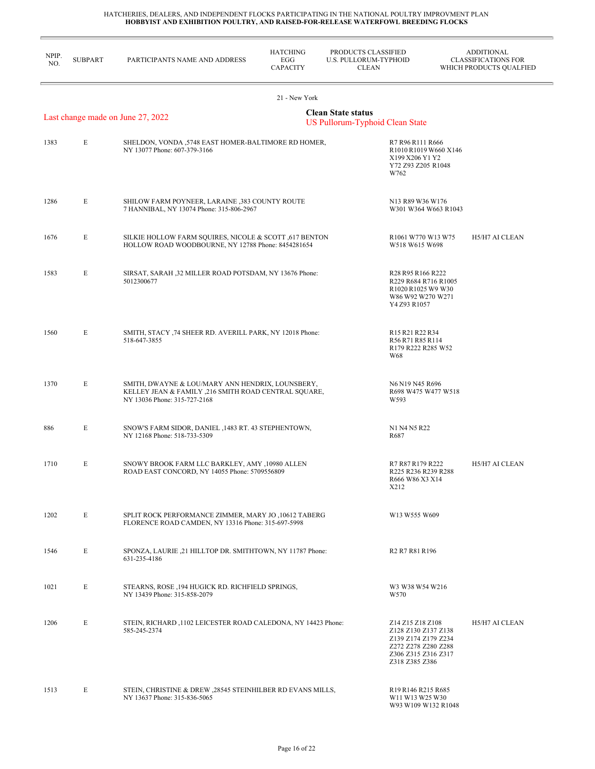| NPIP.<br>NO. | <b>SUBPART</b> | PARTICIPANTS NAME AND ADDRESS                                                                                                            | <b>HATCHING</b><br>EGG<br><b>CAPACITY</b> | PRODUCTS CLASSIFIED<br>U.S. PULLORUM-TYPHOID<br><b>CLEAN</b> |                                                                                                                                | <b>ADDITIONAL</b><br><b>CLASSIFICATIONS FOR</b><br>WHICH PRODUCTS QUALFIED |
|--------------|----------------|------------------------------------------------------------------------------------------------------------------------------------------|-------------------------------------------|--------------------------------------------------------------|--------------------------------------------------------------------------------------------------------------------------------|----------------------------------------------------------------------------|
|              |                |                                                                                                                                          | 21 - New York                             |                                                              |                                                                                                                                |                                                                            |
|              |                | Last change made on June 27, 2022                                                                                                        |                                           | <b>Clean State status</b><br>US Pullorum-Typhoid Clean State |                                                                                                                                |                                                                            |
| 1383         | E              | SHELDON, VONDA ,5748 EAST HOMER-BALTIMORE RD HOMER,<br>NY 13077 Phone: 607-379-3166                                                      |                                           |                                                              | R7 R96 R111 R666<br>R1010 R1019 W660 X146<br>X199 X206 Y1 Y2<br>Y72 Z93 Z205 R1048<br>W762                                     |                                                                            |
| 1286         | E              | SHILOW FARM POYNEER, LARAINE ,383 COUNTY ROUTE<br>7 HANNIBAL, NY 13074 Phone: 315-806-2967                                               |                                           |                                                              | N13 R89 W36 W176<br>W301 W364 W663 R1043                                                                                       |                                                                            |
| 1676         | E              | SILKIE HOLLOW FARM SQUIRES, NICOLE & SCOTT ,617 BENTON<br>HOLLOW ROAD WOODBOURNE, NY 12788 Phone: 8454281654                             |                                           |                                                              | R1061 W770 W13 W75<br>W518 W615 W698                                                                                           | H5/H7 AI CLEAN                                                             |
| 1583         | E              | SIRSAT, SARAH ,32 MILLER ROAD POTSDAM, NY 13676 Phone:<br>5012300677                                                                     |                                           |                                                              | R28 R95 R166 R222<br>R229 R684 R716 R1005<br>R1020 R1025 W9 W30<br>W86 W92 W270 W271<br>Y4 Z93 R1057                           |                                                                            |
| 1560         | E              | SMITH, STACY ,74 SHEER RD. AVERILL PARK, NY 12018 Phone:<br>518-647-3855                                                                 |                                           |                                                              | R <sub>15</sub> R <sub>21</sub> R <sub>22</sub> R <sub>34</sub><br>R56 R71 R85 R114<br>R179 R222 R285 W52<br>W68               |                                                                            |
| 1370         | E              | SMITH, DWAYNE & LOU/MARY ANN HENDRIX, LOUNSBERY,<br>KELLEY JEAN & FAMILY ,216 SMITH ROAD CENTRAL SQUARE,<br>NY 13036 Phone: 315-727-2168 |                                           |                                                              | N6 N19 N45 R696<br>R698 W475 W477 W518<br>W593                                                                                 |                                                                            |
| 886          | E              | SNOW'S FARM SIDOR, DANIEL, 1483 RT. 43 STEPHENTOWN,<br>NY 12168 Phone: 518-733-5309                                                      |                                           |                                                              | N1 N4 N5 R22<br>R687                                                                                                           |                                                                            |
| 1710         | E              | SNOWY BROOK FARM LLC BARKLEY, AMY ,10980 ALLEN<br>ROAD EAST CONCORD, NY 14055 Phone: 5709556809                                          |                                           |                                                              | R7 R87 R179 R222<br>R225 R236 R239 R288<br>R666 W86 X3 X14<br>X212                                                             | H5/H7 AI CLEAN                                                             |
| 1202         | $\mathbf E$    | SPLIT ROCK PERFORMANCE ZIMMER, MARY JO ,10612 TABERG<br>FLORENCE ROAD CAMDEN, NY 13316 Phone: 315-697-5998                               |                                           |                                                              | W13 W555 W609                                                                                                                  |                                                                            |
| 1546         | E              | SPONZA, LAURIE ,21 HILLTOP DR. SMITHTOWN, NY 11787 Phone:<br>631-235-4186                                                                |                                           |                                                              | R <sub>2</sub> R <sub>7</sub> R <sub>81</sub> R <sub>196</sub>                                                                 |                                                                            |
| 1021         | E              | STEARNS, ROSE , 194 HUGICK RD. RICHFIELD SPRINGS,<br>NY 13439 Phone: 315-858-2079                                                        |                                           |                                                              | W3 W38 W54 W216<br>W570                                                                                                        |                                                                            |
| 1206         | E              | STEIN, RICHARD ,1102 LEICESTER ROAD CALEDONA, NY 14423 Phone:<br>585-245-2374                                                            |                                           |                                                              | Z14 Z15 Z18 Z108<br>Z128 Z130 Z137 Z138<br>Z139 Z174 Z179 Z234<br>Z272 Z278 Z280 Z288<br>Z306 Z315 Z316 Z317<br>Z318 Z385 Z386 | H5/H7 AI CLEAN                                                             |
| 1513         | E              | STEIN, CHRISTINE & DREW , 28545 STEINHILBER RD EVANS MILLS,<br>NY 13637 Phone: 315-836-5065                                              |                                           |                                                              | R <sub>19</sub> R <sub>146</sub> R <sub>215</sub> R <sub>685</sub><br>W11 W13 W25 W30<br>W93 W109 W132 R1048                   |                                                                            |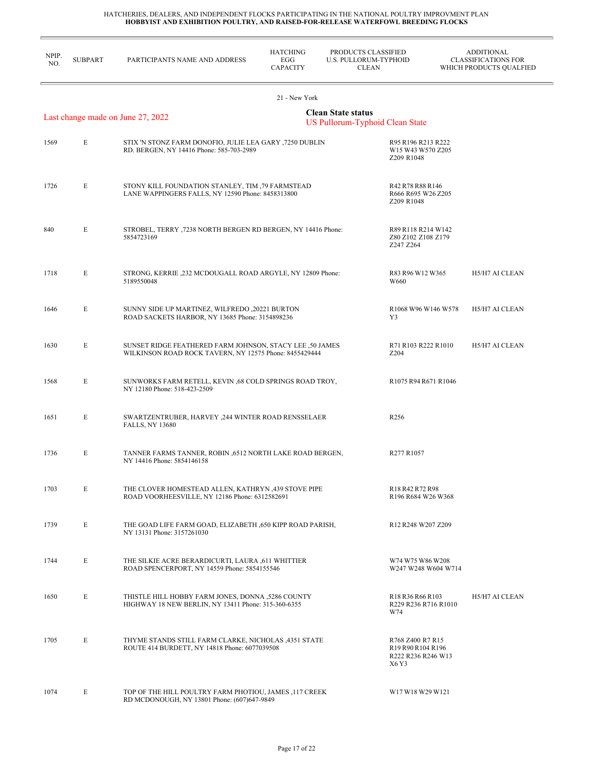| NPIP.<br>NO. | <b>SUBPART</b>                                                                                           | PARTICIPANTS NAME AND ADDRESS                                                                                      | <b>HATCHING</b><br>EGG<br><b>CAPACITY</b> | PRODUCTS CLASSIFIED<br><b>U.S. PULLORUM-TYPHOID</b><br><b>CLEAN</b> |                                                                                       | <b>ADDITIONAL</b><br><b>CLASSIFICATIONS FOR</b><br>WHICH PRODUCTS QUALFIED |  |  |
|--------------|----------------------------------------------------------------------------------------------------------|--------------------------------------------------------------------------------------------------------------------|-------------------------------------------|---------------------------------------------------------------------|---------------------------------------------------------------------------------------|----------------------------------------------------------------------------|--|--|
|              |                                                                                                          |                                                                                                                    | 21 - New York                             |                                                                     |                                                                                       |                                                                            |  |  |
|              | <b>Clean State status</b><br>Last change made on June 27, 2022<br><b>US Pullorum-Typhoid Clean State</b> |                                                                                                                    |                                           |                                                                     |                                                                                       |                                                                            |  |  |
| 1569         | E                                                                                                        | STIX 'N STONZ FARM DONOFIO, JULIE LEA GARY ,7250 DUBLIN<br>RD. BERGEN, NY 14416 Phone: 585-703-2989                |                                           | Z209 R1048                                                          | R95 R196 R213 R222<br>W15 W43 W570 Z205                                               |                                                                            |  |  |
| 1726         | E                                                                                                        | STONY KILL FOUNDATION STANLEY, TIM ,79 FARMSTEAD<br>LANE WAPPINGERS FALLS, NY 12590 Phone: 8458313800              |                                           | Z209 R1048                                                          | R42 R78 R88 R146<br>R666 R695 W26 Z205                                                |                                                                            |  |  |
| 840          | E                                                                                                        | STROBEL, TERRY ,7238 NORTH BERGEN RD BERGEN, NY 14416 Phone:<br>5854723169                                         |                                           | Z247 Z264                                                           | R89 R118 R214 W142<br>Z80 Z102 Z108 Z179                                              |                                                                            |  |  |
| 1718         | E                                                                                                        | STRONG, KERRIE , 232 MCDOUGALL ROAD ARGYLE, NY 12809 Phone:<br>5189550048                                          |                                           | W660                                                                | R83 R96 W12 W365                                                                      | H5/H7 AI CLEAN                                                             |  |  |
| 1646         | E                                                                                                        | SUNNY SIDE UP MARTINEZ, WILFREDO ,20221 BURTON<br>ROAD SACKETS HARBOR, NY 13685 Phone: 3154898236                  |                                           | Y3                                                                  | R1068 W96 W146 W578                                                                   | H5/H7 AI CLEAN                                                             |  |  |
| 1630         | E                                                                                                        | SUNSET RIDGE FEATHERED FARM JOHNSON, STACY LEE ,50 JAMES<br>WILKINSON ROAD ROCK TAVERN, NY 12575 Phone: 8455429444 |                                           | Z <sub>204</sub>                                                    | R71 R103 R222 R1010                                                                   | H5/H7 AI CLEAN                                                             |  |  |
| 1568         | E                                                                                                        | SUNWORKS FARM RETELL, KEVIN ,68 COLD SPRINGS ROAD TROY,<br>NY 12180 Phone: 518-423-2509                            |                                           |                                                                     | R1075 R94 R671 R1046                                                                  |                                                                            |  |  |
| 1651         | E                                                                                                        | SWARTZENTRUBER, HARVEY , 244 WINTER ROAD RENSSELAER<br><b>FALLS, NY 13680</b>                                      |                                           | R <sub>256</sub>                                                    |                                                                                       |                                                                            |  |  |
| 1736         | E                                                                                                        | TANNER FARMS TANNER, ROBIN ,6512 NORTH LAKE ROAD BERGEN,<br>NY 14416 Phone: 5854146158                             |                                           | R277 R1057                                                          |                                                                                       |                                                                            |  |  |
| 1703         | E                                                                                                        | THE CLOVER HOMESTEAD ALLEN, KATHRYN ,439 STOVE PIPE<br>ROAD VOORHEESVILLE, NY 12186 Phone: 6312582691              |                                           |                                                                     | R <sub>18</sub> R <sub>42</sub> R <sub>72</sub> R <sub>98</sub><br>R196 R684 W26 W368 |                                                                            |  |  |
| 1739         | E                                                                                                        | THE GOAD LIFE FARM GOAD, ELIZABETH ,650 KIPP ROAD PARISH,<br>NY 13131 Phone: 3157261030                            |                                           |                                                                     | R <sub>12</sub> R <sub>248</sub> W <sub>207</sub> Z <sub>209</sub>                    |                                                                            |  |  |
| 1744         | E                                                                                                        | THE SILKIE ACRE BERARDICURTI, LAURA ,611 WHITTIER<br>ROAD SPENCERPORT, NY 14559 Phone: 5854155546                  |                                           |                                                                     | W74 W75 W86 W208<br>W247 W248 W604 W714                                               |                                                                            |  |  |
| 1650         | E                                                                                                        | THISTLE HILL HOBBY FARM JONES, DONNA ,5286 COUNTY<br>HIGHWAY 18 NEW BERLIN, NY 13411 Phone: 315-360-6355           |                                           | W74                                                                 | R18 R36 R66 R103<br>R229 R236 R716 R1010                                              | H5/H7 AI CLEAN                                                             |  |  |
| 1705         | E                                                                                                        | THYME STANDS STILL FARM CLARKE, NICHOLAS ,4351 STATE<br>ROUTE 414 BURDETT, NY 14818 Phone: 6077039508              |                                           | X6 Y3                                                               | R768 Z400 R7 R15<br>R19 R90 R104 R196<br>R222 R236 R246 W13                           |                                                                            |  |  |
| 1074         | E                                                                                                        | TOP OF THE HILL POULTRY FARM PHOTIOU, JAMES, 117 CREEK<br>RD MCDONOUGH, NY 13801 Phone: (607)647-9849              |                                           |                                                                     | W <sub>17</sub> W <sub>18</sub> W <sub>29</sub> W <sub>121</sub>                      |                                                                            |  |  |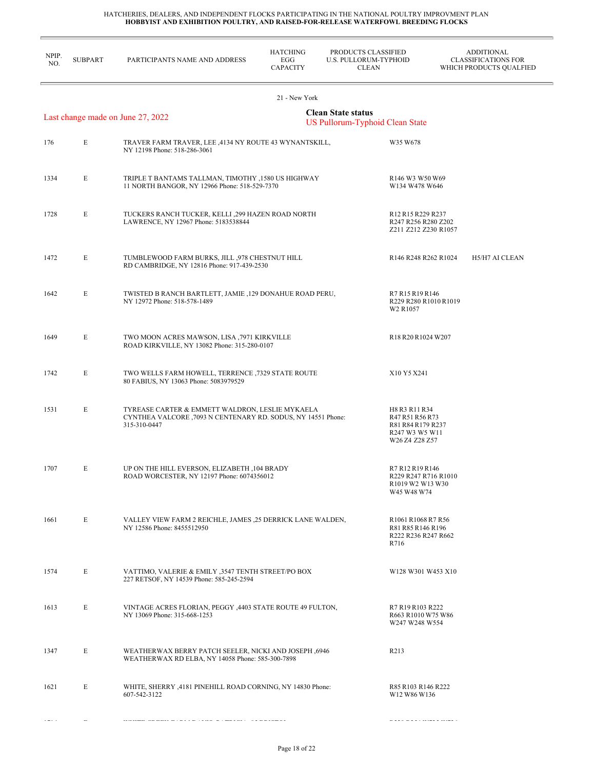$\equiv$ 

| NPIP.<br>NO. | <b>SUBPART</b> | PARTICIPANTS NAME AND ADDRESS                                                                                                    | <b>HATCHING</b><br>EGG<br><b>CAPACITY</b> | PRODUCTS CLASSIFIED<br>U.S. PULLORUM-TYPHOID<br><b>CLEAN</b> |                                                                                                                  | <b>ADDITIONAL</b><br><b>CLASSIFICATIONS FOR</b><br>WHICH PRODUCTS QUALFIED |
|--------------|----------------|----------------------------------------------------------------------------------------------------------------------------------|-------------------------------------------|--------------------------------------------------------------|------------------------------------------------------------------------------------------------------------------|----------------------------------------------------------------------------|
|              |                |                                                                                                                                  | 21 - New York                             |                                                              |                                                                                                                  |                                                                            |
|              |                | Last change made on June 27, 2022                                                                                                |                                           | <b>Clean State status</b><br>US Pullorum-Typhoid Clean State |                                                                                                                  |                                                                            |
| 176          | E              | TRAVER FARM TRAVER, LEE ,4134 NY ROUTE 43 WYNANTSKILL,<br>NY 12198 Phone: 518-286-3061                                           |                                           |                                                              | W35 W678                                                                                                         |                                                                            |
| 1334         | E              | TRIPLE T BANTAMS TALLMAN, TIMOTHY , 1580 US HIGHWAY<br>11 NORTH BANGOR, NY 12966 Phone: 518-529-7370                             |                                           |                                                              | R <sub>146</sub> W <sub>3</sub> W <sub>50</sub> W <sub>69</sub><br>W134 W478 W646                                |                                                                            |
| 1728         | E              | TUCKERS RANCH TUCKER, KELLI ,299 HAZEN ROAD NORTH<br>LAWRENCE, NY 12967 Phone: 5183538844                                        |                                           |                                                              | R <sub>12</sub> R <sub>15</sub> R <sub>229</sub> R <sub>237</sub><br>R247 R256 R280 Z202<br>Z211 Z212 Z230 R1057 |                                                                            |
| 1472         | E              | TUMBLEWOOD FARM BURKS, JILL ,978 CHESTNUT HILL<br>RD CAMBRIDGE, NY 12816 Phone: 917-439-2530                                     |                                           |                                                              | R146 R248 R262 R1024                                                                                             | H5/H7 AI CLEAN                                                             |
| 1642         | E              | TWISTED B RANCH BARTLETT, JAMIE ,129 DONAHUE ROAD PERU,<br>NY 12972 Phone: 518-578-1489                                          |                                           |                                                              | R7 R15 R19 R146<br>R229 R280 R1010 R1019<br>W2 R1057                                                             |                                                                            |
| 1649         | E              | TWO MOON ACRES MAWSON, LISA ,7971 KIRKVILLE<br>ROAD KIRKVILLE, NY 13082 Phone: 315-280-0107                                      |                                           |                                                              | R <sub>18</sub> R <sub>20</sub> R <sub>1024</sub> W <sub>207</sub>                                               |                                                                            |
| 1742         | E              | TWO WELLS FARM HOWELL, TERRENCE , 7329 STATE ROUTE<br>80 FABIUS, NY 13063 Phone: 5083979529                                      |                                           |                                                              | X10 Y5 X241                                                                                                      |                                                                            |
| 1531         | E              | TYREASE CARTER & EMMETT WALDRON, LESLIE MYKAELA<br>CYNTHEA VALCORE , 7093 N CENTENARY RD. SODUS, NY 14551 Phone:<br>315-310-0447 |                                           |                                                              | H8 R3 R11 R34<br>R47 R51 R56 R73<br>R81 R84 R179 R237<br>R247 W3 W5 W11<br>W26 Z4 Z28 Z57                        |                                                                            |
| 1707         | E              | UP ON THE HILL EVERSON, ELIZABETH , 104 BRADY<br>ROAD WORCESTER, NY 12197 Phone: 6074356012                                      |                                           |                                                              | R7 R12 R19 R146<br>R229 R247 R716 R1010<br>R1019 W2 W13 W30<br>W45 W48 W74                                       |                                                                            |
| 1661         | E              | VALLEY VIEW FARM 2 REICHLE, JAMES ,25 DERRICK LANE WALDEN,<br>NY 12586 Phone: 8455512950                                         |                                           |                                                              | R1061 R1068 R7 R56<br>R81 R85 R146 R196<br>R222 R236 R247 R662<br>R716                                           |                                                                            |
| 1574         | E              | VATTIMO, VALERIE & EMILY ,3547 TENTH STREET/PO BOX<br>227 RETSOF, NY 14539 Phone: 585-245-2594                                   |                                           |                                                              | W128 W301 W453 X10                                                                                               |                                                                            |
| 1613         | E              | VINTAGE ACRES FLORIAN, PEGGY, 4403 STATE ROUTE 49 FULTON,<br>NY 13069 Phone: 315-668-1253                                        |                                           |                                                              | R7 R19 R103 R222<br>R663 R1010 W75 W86<br>W247 W248 W554                                                         |                                                                            |
| 1347         | E              | WEATHERWAX BERRY PATCH SEELER, NICKI AND JOSEPH ,6946<br>WEATHERWAX RD ELBA, NY 14058 Phone: 585-300-7898                        |                                           |                                                              | R213                                                                                                             |                                                                            |
| 1621         | E              | WHITE, SHERRY , 4181 PINEHILL ROAD CORNING, NY 14830 Phone:<br>607-542-3122                                                      |                                           |                                                              | R85 R103 R146 R222<br>W12 W86 W136                                                                               |                                                                            |
|              |                |                                                                                                                                  |                                           |                                                              |                                                                                                                  |                                                                            |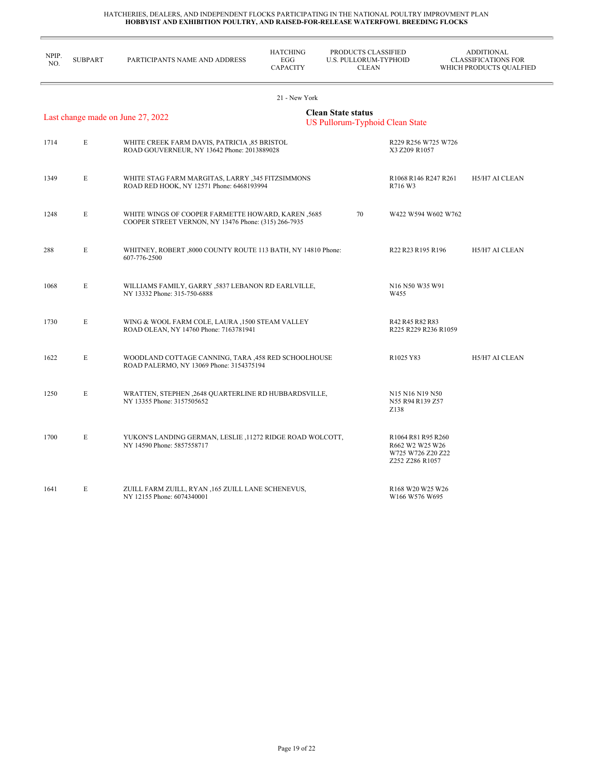r.

| NPIP.<br>NO.                                                                                      | <b>SUBPART</b> | PARTICIPANTS NAME AND ADDRESS                                                                              | <b>HATCHING</b><br>EGG<br><b>CAPACITY</b> | PRODUCTS CLASSIFIED<br><b>U.S. PULLORUM-TYPHOID</b><br><b>CLEAN</b> |                                                                                                         | <b>ADDITIONAL</b><br><b>CLASSIFICATIONS FOR</b><br>WHICH PRODUCTS QUALFIED |
|---------------------------------------------------------------------------------------------------|----------------|------------------------------------------------------------------------------------------------------------|-------------------------------------------|---------------------------------------------------------------------|---------------------------------------------------------------------------------------------------------|----------------------------------------------------------------------------|
|                                                                                                   |                |                                                                                                            | 21 - New York                             |                                                                     |                                                                                                         |                                                                            |
| <b>Clean State status</b><br>Last change made on June 27, 2022<br>US Pullorum-Typhoid Clean State |                |                                                                                                            |                                           |                                                                     |                                                                                                         |                                                                            |
| 1714                                                                                              | $\mathbf E$    | WHITE CREEK FARM DAVIS, PATRICIA ,85 BRISTOL<br>ROAD GOUVERNEUR, NY 13642 Phone: 2013889028                |                                           |                                                                     | R229 R256 W725 W726<br>X3 Z209 R1057                                                                    |                                                                            |
| 1349                                                                                              | E              | WHITE STAG FARM MARGITAS, LARRY ,345 FITZSIMMONS<br>ROAD RED HOOK, NY 12571 Phone: 6468193994              |                                           |                                                                     | R <sub>1068</sub> R <sub>146</sub> R <sub>247</sub> R <sub>261</sub><br>R716 W3                         | H5/H7 AI CLEAN                                                             |
| 1248                                                                                              | E              | WHITE WINGS OF COOPER FARMETTE HOWARD, KAREN, 5685<br>COOPER STREET VERNON, NY 13476 Phone: (315) 266-7935 |                                           | 70                                                                  | W422 W594 W602 W762                                                                                     |                                                                            |
| 288                                                                                               | E              | WHITNEY, ROBERT, 8000 COUNTY ROUTE 113 BATH, NY 14810 Phone:<br>607-776-2500                               |                                           |                                                                     | R22 R23 R195 R196                                                                                       | H5/H7 AI CLEAN                                                             |
| 1068                                                                                              | E              | WILLIAMS FAMILY, GARRY , 5837 LEBANON RD EARLVILLE,<br>NY 13332 Phone: 315-750-6888                        |                                           |                                                                     | N16 N50 W35 W91<br>W455                                                                                 |                                                                            |
| 1730                                                                                              | E              | WING & WOOL FARM COLE, LAURA , 1500 STEAM VALLEY<br>ROAD OLEAN, NY 14760 Phone: 7163781941                 |                                           |                                                                     | R42 R45 R82 R83<br>R225 R229 R236 R1059                                                                 |                                                                            |
| 1622                                                                                              | E              | WOODLAND COTTAGE CANNING, TARA , 458 RED SCHOOLHOUSE<br>ROAD PALERMO, NY 13069 Phone: 3154375194           |                                           |                                                                     | R1025 Y83                                                                                               | H5/H7 AI CLEAN                                                             |
| 1250                                                                                              | E              | WRATTEN, STEPHEN, 2648 QUARTERLINE RD HUBBARDSVILLE,<br>NY 13355 Phone: 3157505652                         |                                           |                                                                     | N <sub>15</sub> N <sub>16</sub> N <sub>19</sub> N <sub>50</sub><br>N55 R94 R139 Z57<br>Z <sub>138</sub> |                                                                            |
| 1700                                                                                              | E              | YUKON'S LANDING GERMAN, LESLIE , 11272 RIDGE ROAD WOLCOTT,<br>NY 14590 Phone: 5857558717                   |                                           |                                                                     | R1064 R81 R95 R260<br>R662 W2 W25 W26<br>W725 W726 Z20 Z22<br>Z252 Z286 R1057                           |                                                                            |
| 1641                                                                                              | E              | ZUILL FARM ZUILL, RYAN , 165 ZUILL LANE SCHENEVUS,<br>NY 12155 Phone: 6074340001                           |                                           |                                                                     | R168 W20 W25 W26<br>W166 W576 W695                                                                      |                                                                            |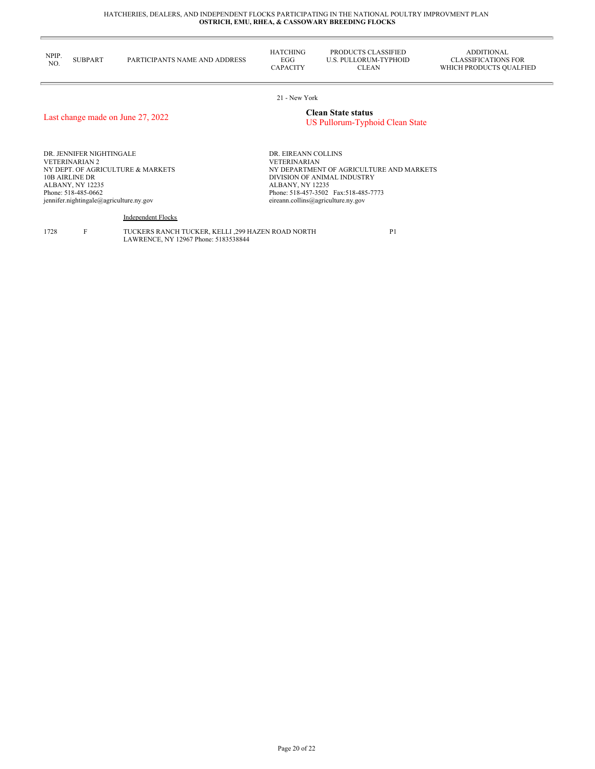| NPIP.<br>NO. | <b>SUBPART</b> | PARTICIPANTS NAME AND ADDRESS | <b>HATCHING</b><br>EGG<br><b><i>CAPACITY</i></b> | PRODUCTS CLASSIFIED<br>U.S. PULLORUM-TYPHOID<br>CLEAN | ADDITIONAL<br>CLASSIFICATIONS FOR<br>WHICH PRODUCTS OUALFIED |
|--------------|----------------|-------------------------------|--------------------------------------------------|-------------------------------------------------------|--------------------------------------------------------------|
|              |                |                               |                                                  |                                                       |                                                              |

21 - New York

## Last change made on June 27, 2022 **Clean State status**

## US Pullorum-Typhoid Clean State

DR. JENNIFER NIGHTINGALE VETERINARIAN 2 NY DEPT. OF AGRICULTURE & MARKETS 10B AIRLINE DR ALBANY, NY 12235 Phone: 518-485-0662 jennifer.nightingale@agriculture.ny.gov

DR. EIREANN COLLINS VETERINARIAN NY DEPARTMENT OF AGRICULTURE AND MARKETS DIVISION OF ANIMAL INDUSTRY ALBANY, NY 12235 Phone: 518-457-3502 Fax:518-485-7773 eireann.collins@agriculture.ny.gov

Independent Flocks

1728 F TUCKERS RANCH TUCKER, KELLI ,299 HAZEN ROAD NORTH LAWRENCE, NY 12967 Phone: 5183538844

P1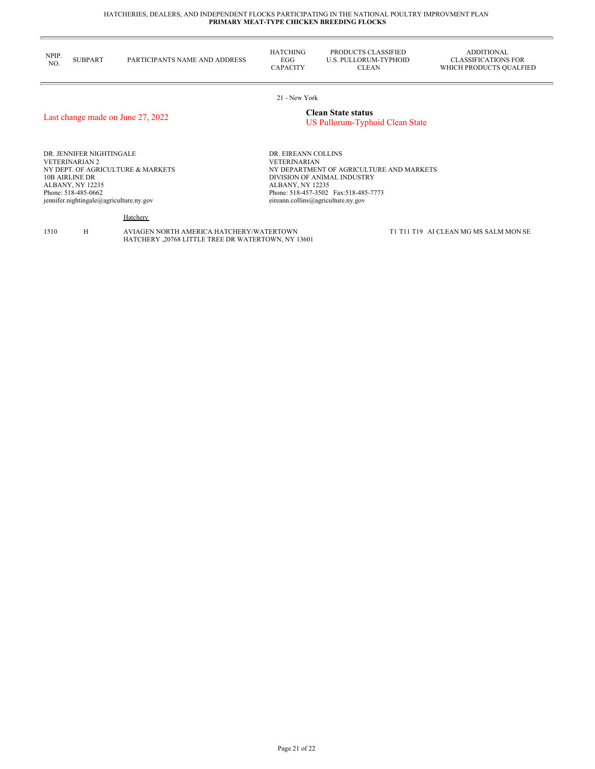| NPIP.<br>NO. | <b>SUBPART</b> | PARTICIPANTS NAME AND ADDRESS | <b>HATCHING</b><br>EGG<br>CAPACITY | PRODUCTS CLASSIFIED<br>U.S. PULLORUM-TYPHOID<br>CLEAN | ADDITIONAL<br>CLASSIFICATIONS FOR<br>WHICH PRODUCTS OUALFIED |
|--------------|----------------|-------------------------------|------------------------------------|-------------------------------------------------------|--------------------------------------------------------------|
|              |                |                               |                                    |                                                       |                                                              |

21 - New York

## Last change made on June 27, 2022 **Clean State status**

## US Pullorum-Typhoid Clean State

DR. JENNIFER NIGHTINGALE VETERINARIAN 2 NY DEPT. OF AGRICULTURE & MARKETS 10B AIRLINE DR ALBANY, NY 12235 Phone: 518-485-0662 jennifer.nightingale@agriculture.ny.gov

DR. EIREANN COLLINS VETERINARIAN NY DEPARTMENT OF AGRICULTURE AND MARKETS DIVISION OF ANIMAL INDUSTRY ALBANY, NY 12235 Phone: 518-457-3502 Fax:518-485-7773 eireann.collins@agriculture.ny.gov

**Hatchery** 

1510 H AVIAGEN NORTH AMERICA HATCHERY/WATERTOWN HATCHERY ,20768 LITTLE TREE DR WATERTOWN, NY 13601 T1 T11 T19 AI CLEAN MG MS SALM MON SE